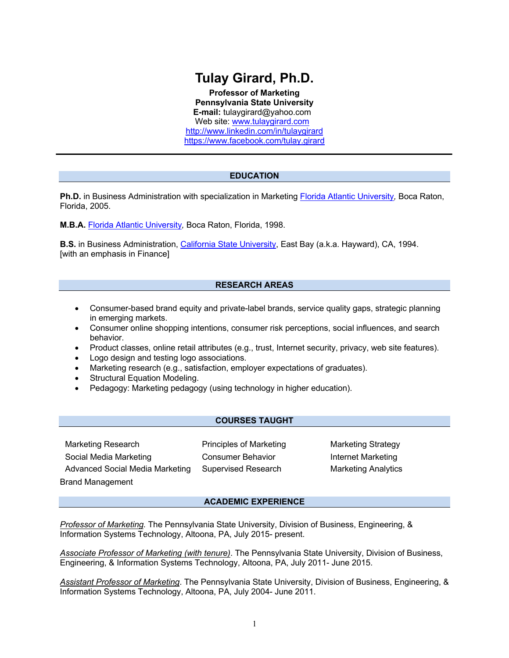# **Tulay Girard, Ph.D.**

**Professor of Marketing Pennsylvania State University E-mail:** tulaygirard@yahoo.com Web site: www.tulaygirard.com http://www.linkedin.com/in/tulaygirard https://www.facebook.com/tulay.girard

# **EDUCATION**

**Ph.D.** in Business Administration with specialization in Marketing Florida Atlantic University*,* Boca Raton, Florida, 2005.

**M.B.A.** Florida Atlantic University*,* Boca Raton, Florida, 1998.

**B.S.** in Business Administration, California State University, East Bay (a.k.a. Hayward), CA, 1994. [with an emphasis in Finance]

# **RESEARCH AREAS**

- Consumer-based brand equity and private-label brands, service quality gaps, strategic planning in emerging markets.
- Consumer online shopping intentions, consumer risk perceptions, social influences, and search behavior.
- Product classes, online retail attributes (e.g., trust, Internet security, privacy, web site features).
- Logo design and testing logo associations.
- Marketing research (e.g., satisfaction, employer expectations of graduates).
- Structural Equation Modeling.
- Pedagogy: Marketing pedagogy (using technology in higher education).

## **COURSES TAUGHT**

Marketing Research **Principles of Marketing Marketing Strategy** Marketing Strategy Social Media Marketing The Consumer Behavior Theorem Internet Marketing Advanced Social Media Marketing Supervised Research Marketing Analytics Brand Management

## **ACADEMIC EXPERIENCE**

*Professor of Marketing.* The Pennsylvania State University, Division of Business, Engineering, & Information Systems Technology, Altoona, PA, July 2015- present.

*Associate Professor of Marketing (with tenure)*. The Pennsylvania State University, Division of Business, Engineering, & Information Systems Technology, Altoona, PA, July 2011- June 2015.

*Assistant Professor of Marketing*. The Pennsylvania State University, Division of Business, Engineering, & Information Systems Technology, Altoona, PA, July 2004- June 2011.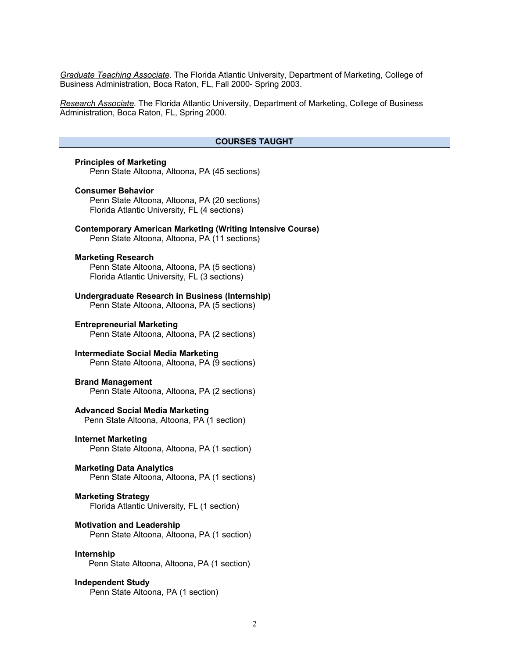*Graduate Teaching Associate*. The Florida Atlantic University, Department of Marketing, College of Business Administration, Boca Raton, FL, Fall 2000- Spring 2003.

*Research Associate.* The Florida Atlantic University, Department of Marketing, College of Business Administration, Boca Raton, FL, Spring 2000.

## **COURSES TAUGHT**

**Principles of Marketing** Penn State Altoona, Altoona, PA (45 sections)

**Consumer Behavior** Penn State Altoona, Altoona, PA (20 sections) Florida Atlantic University, FL (4 sections)

**Contemporary American Marketing (Writing Intensive Course)** Penn State Altoona, Altoona, PA (11 sections)

## **Marketing Research**

Penn State Altoona, Altoona, PA (5 sections) Florida Atlantic University, FL (3 sections)

**Undergraduate Research in Business (Internship)** Penn State Altoona, Altoona, PA (5 sections)

**Entrepreneurial Marketing** Penn State Altoona, Altoona, PA (2 sections)

**Intermediate Social Media Marketing** Penn State Altoona, Altoona, PA (9 sections)

#### **Brand Management**

Penn State Altoona, Altoona, PA (2 sections)

**Advanced Social Media Marketing**

Penn State Altoona, Altoona, PA (1 section)

**Internet Marketing** Penn State Altoona, Altoona, PA (1 section)

**Marketing Data Analytics** Penn State Altoona, Altoona, PA (1 sections)

**Marketing Strategy** Florida Atlantic University, FL (1 section)

**Motivation and Leadership** Penn State Altoona, Altoona, PA (1 section)

**Internship** 

Penn State Altoona, Altoona, PA (1 section)

**Independent Study** Penn State Altoona, PA (1 section)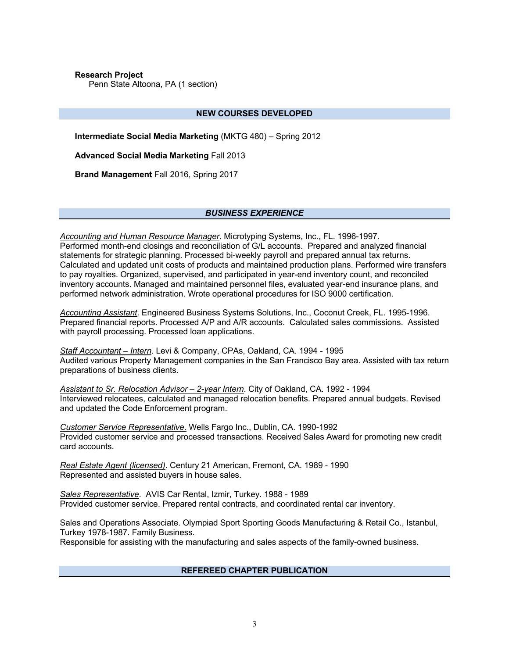**Research Project**

Penn State Altoona, PA (1 section)

## **NEW COURSES DEVELOPED**

**Intermediate Social Media Marketing** (MKTG 480) – Spring 2012

**Advanced Social Media Marketing** Fall 2013

**Brand Management** Fall 2016, Spring 2017

# *BUSINESS EXPERIENCE*

*Accounting and Human Resource Manager*. Microtyping Systems, Inc., FL. 1996-1997. Performed month-end closings and reconciliation of G/L accounts. Prepared and analyzed financial statements for strategic planning. Processed bi-weekly payroll and prepared annual tax returns. Calculated and updated unit costs of products and maintained production plans. Performed wire transfers to pay royalties. Organized, supervised, and participated in year-end inventory count, and reconciled inventory accounts. Managed and maintained personnel files, evaluated year-end insurance plans, and performed network administration. Wrote operational procedures for ISO 9000 certification.

*Accounting Assistant*. Engineered Business Systems Solutions, Inc., Coconut Creek, FL. 1995-1996. Prepared financial reports. Processed A/P and A/R accounts. Calculated sales commissions. Assisted with payroll processing. Processed loan applications.

*Staff Accountant – Intern*. Levi & Company, CPAs, Oakland, CA. 1994 - 1995 Audited various Property Management companies in the San Francisco Bay area. Assisted with tax return preparations of business clients.

*Assistant to Sr. Relocation Advisor – 2-year Intern*. City of Oakland, CA. 1992 - 1994 Interviewed relocatees, calculated and managed relocation benefits. Prepared annual budgets. Revised and updated the Code Enforcement program.

*Customer Service Representative*. Wells Fargo Inc., Dublin, CA. 1990-1992 Provided customer service and processed transactions. Received Sales Award for promoting new credit card accounts.

*Real Estate Agent (licensed)*. Century 21 American, Fremont, CA. 1989 - 1990 Represented and assisted buyers in house sales.

*Sales Representative*. AVIS Car Rental, Izmir, Turkey. 1988 - 1989 Provided customer service. Prepared rental contracts, and coordinated rental car inventory.

Sales and Operations Associate. Olympiad Sport Sporting Goods Manufacturing & Retail Co., Istanbul, Turkey 1978-1987. Family Business. Responsible for assisting with the manufacturing and sales aspects of the family-owned business.

## **REFEREED CHAPTER PUBLICATION**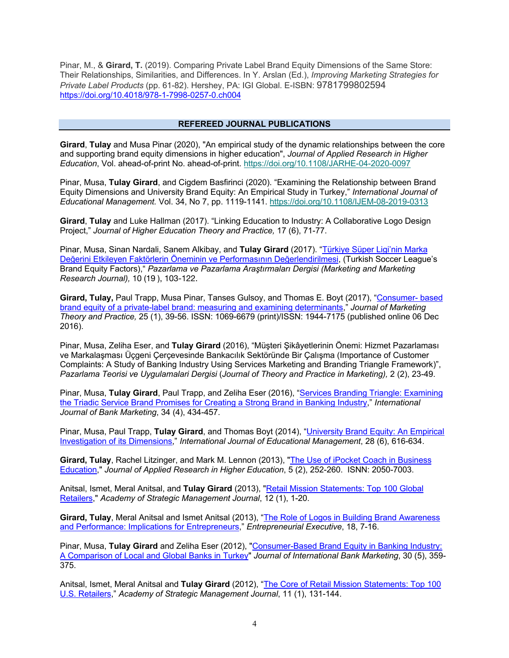Pinar, M., & **Girard, T.** (2019). Comparing Private Label Brand Equity Dimensions of the Same Store: Their Relationships, Similarities, and Differences. In Y. Arslan (Ed.), *Improving Marketing Strategies for Private Label Products* (pp. 61-82). Hershey, PA: IGI Global. E-ISBN: 9781799802594 https://doi.org/10.4018/978-1-7998-0257-0.ch004

## **REFEREED JOURNAL PUBLICATIONS**

**Girard**, **Tulay** and Musa Pinar (2020), "An empirical study of the dynamic relationships between the core and supporting brand equity dimensions in higher education", *Journal of Applied Research in Higher Education*, Vol. ahead-of-print No. ahead-of-print. https://doi.org/10.1108/JARHE-04-2020-0097

Pinar, Musa, **Tulay Girard**, and Cigdem Basfirinci (2020). "Examining the Relationship between Brand Equity Dimensions and University Brand Equity: An Empirical Study in Turkey," *International Journal of Educational Management.* Vol. 34, No 7, pp. 1119-1141. https://doi.org/10.1108/IJEM-08-2019-0313

**Girard**, **Tulay** and Luke Hallman (2017). "Linking Education to Industry: A Collaborative Logo Design Project," *Journal of Higher Education Theory and Practice,* 17 (6), 71-77.

Pinar, Musa, Sinan Nardali, Sanem Alkibay, and **Tulay Girard** (2017). "Türkiye Süper Ligi'nin Marka Değerini Etkileyen Faktörlerin Öneminin ve Performasının Değerlendirilmesi, (Turkish Soccer League's Brand Equity Factors)," *Pazarlama ve Pazarlama Araştırmaları Dergisi (Marketing and Marketing Research Journal),* 10 (19 ), 103-122.

Girard, Tulay, Paul Trapp, Musa Pinar, Tanses Gulsoy, and Thomas E. Boyt (2017), "Consumer- based brand equity of a private-label brand: measuring and examining determinants," *Journal of Marketing Theory and Practice,* 25 (1), 39-56. ISSN: 1069-6679 (print)/ISSN: 1944-7175 (published online 06 Dec 2016).

Pinar, Musa, Zeliha Eser, and **Tulay Girard** (2016), "Müşteri Şikâyetlerinin Önemi: Hizmet Pazarlaması ve Markalaşması Üçgeni Çerçevesinde Bankacılık Sektöründe Bir Çalışma (Importance of Customer Complaints: A Study of Banking Industry Using Services Marketing and Branding Triangle Framework)", *Pazarlama Teorisi ve Uygulamalari Dergisi* (*Journal of Theory and Practice in Marketing),* 2 (2), 23-49.

Pinar, Musa, **Tulay Girard**, Paul Trapp, and Zeliha Eser (2016), "Services Branding Triangle: Examining the Triadic Service Brand Promises for Creating a Strong Brand in Banking Industry," *International Journal of Bank Marketing*, 34 (4), 434-457.

Pinar, Musa, Paul Trapp, **Tulay Girard**, and Thomas Boyt (2014), "University Brand Equity: An Empirical Investigation of its Dimensions," *International Journal of Educational Management*, 28 (6), 616-634.

**Girard, Tulay**, Rachel Litzinger, and Mark M. Lennon (2013), "The Use of iPocket Coach in Business Education," *Journal of Applied Research in Higher Education*, 5 (2), 252-260. ISNN: 2050-7003.

Anitsal, Ismet, Meral Anitsal, and **Tulay Girard** (2013), "Retail Mission Statements: Top 100 Global Retailers," *Academy of Strategic Management Journal*, 12 (1), 1-20.

**Girard, Tulay**, Meral Anitsal and Ismet Anitsal (2013), "The Role of Logos in Building Brand Awareness and Performance: Implications for Entrepreneurs," *Entrepreneurial Executive*, 18, 7-16.

Pinar, Musa, **Tulay Girard** and Zeliha Eser (2012), "Consumer-Based Brand Equity in Banking Industry: A Comparison of Local and Global Banks in Turkey" *Journal of International Bank Marketing*, 30 (5), 359- 375.

Anitsal, Ismet, Meral Anitsal and **Tulay Girard** (2012), "The Core of Retail Mission Statements: Top 100 U.S. Retailers," *Academy of Strategic Management Journal*, 11 (1), 131-144.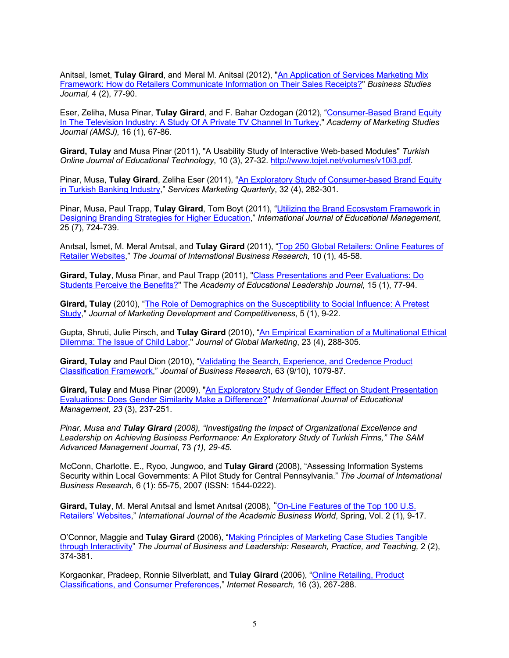Anitsal, Ismet, **Tulay Girard**, and Meral M. Anitsal (2012), "An Application of Services Marketing Mix Framework: How do Retailers Communicate Information on Their Sales Receipts?" *Business Studies Journal,* 4 (2), 77-90.

Eser, Zeliha, Musa Pinar, **Tulay Girard**, and F. Bahar Ozdogan (2012), "Consumer-Based Brand Equity In The Television Industry: A Study Of A Private TV Channel In Turkey," *Academy of Marketing Studies Journal (AMSJ),* 16 (1), 67-86.

**Girard, Tulay** and Musa Pinar (2011), "A Usability Study of Interactive Web-based Modules" *Turkish Online Journal of Educational Technology*, 10 (3), 27-32. http://www.tojet.net/volumes/v10i3.pdf.

Pinar, Musa, **Tulay Girard**, Zeliha Eser (2011), "An Exploratory Study of Consumer-based Brand Equity in Turkish Banking Industry," *Services Marketing Quarterly*, 32 (4), 282-301.

Pinar, Musa, Paul Trapp, **Tulay Girard**, Tom Boyt (2011), "Utilizing the Brand Ecosystem Framework in Designing Branding Strategies for Higher Education," *International Journal of Educational Management*, 25 (7), 724-739.

Anıtsal, İsmet, M. Meral Anıtsal, and **Tulay Girard** (2011), "Top 250 Global Retailers: Online Features of Retailer Websites," *The Journal of International Business Research,* 10 (1), 45-58.

**Girard, Tulay**, Musa Pinar, and Paul Trapp (2011), "Class Presentations and Peer Evaluations: Do Students Perceive the Benefits?" The *Academy of Educational Leadership Journal,* 15 (1), 77-94.

**Girard, Tulay** (2010), "The Role of Demographics on the Susceptibility to Social Influence: A Pretest Study," *Journal of Marketing Development and Competitiveness*, 5 (1), 9-22.

Gupta, Shruti, Julie Pirsch, and **Tulay Girard** (2010), "An Empirical Examination of a Multinational Ethical Dilemma: The Issue of Child Labor," *Journal of Global Marketing*, 23 (4), 288-305.

Girard, Tulay and Paul Dion (2010), "Validating the Search, Experience, and Credence Product Classification Framework," *Journal of Business Research,* 63 (9/10), 1079-87.

**Girard, Tulay** and Musa Pinar (2009), "An Exploratory Study of Gender Effect on Student Presentation Evaluations: Does Gender Similarity Make a Difference?" *International Journal of Educational Management, 23* (3), 237-251.

*Pinar, Musa and Tulay Girard (2008), "Investigating the Impact of Organizational Excellence and Leadership on Achieving Business Performance: An Exploratory Study of Turkish Firms," The SAM Advanced Management Journal*, 73 *(1), 29-45.*

McConn, Charlotte. E., Ryoo, Jungwoo, and **Tulay Girard** (2008), "Assessing Information Systems Security within Local Governments: A Pilot Study for Central Pennsylvania." *The Journal of International Business Research,* 6 (1): 55-75, 2007 (ISSN: 1544-0222).

**Girard, Tulay**, M. Meral Anıtsal and İsmet Anıtsal (2008), "On-Line Features of the Top 100 U.S. Retailers' Websites," *International Journal of the Academic Business World*, Spring, Vol. 2 (1), 9-17.

O'Connor, Maggie and **Tulay Girard** (2006), "Making Principles of Marketing Case Studies Tangible through Interactivity" *The Journal of Business and Leadership: Research, Practice, and Teaching,* 2 (2), 374-381.

Korgaonkar, Pradeep, Ronnie Silverblatt, and **Tulay Girard** (2006), "Online Retailing, Product Classifications, and Consumer Preferences," *Internet Research,* 16 (3), 267-288.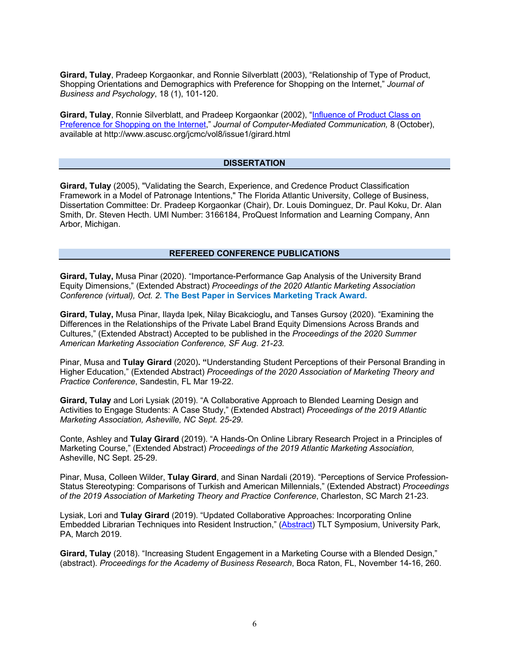**Girard, Tulay**, Pradeep Korgaonkar, and Ronnie Silverblatt (2003), "Relationship of Type of Product, Shopping Orientations and Demographics with Preference for Shopping on the Internet," *Journal of Business and Psychology*, 18 (1), 101-120.

**Girard, Tulay**, Ronnie Silverblatt, and Pradeep Korgaonkar (2002), "Influence of Product Class on Preference for Shopping on the Internet," *Journal of Computer-Mediated Communication,* 8 (October), available at http://www.ascusc.org/jcmc/vol8/issue1/girard.html

## **DISSERTATION**

**Girard, Tulay** (2005), "Validating the Search, Experience, and Credence Product Classification Framework in a Model of Patronage Intentions," The Florida Atlantic University, College of Business, Dissertation Committee: Dr. Pradeep Korgaonkar (Chair), Dr. Louis Dominguez, Dr. Paul Koku, Dr. Alan Smith, Dr. Steven Hecth. UMI Number: 3166184, ProQuest Information and Learning Company, Ann Arbor, Michigan.

#### **REFEREED CONFERENCE PUBLICATIONS**

**Girard, Tulay,** Musa Pinar (2020). "Importance-Performance Gap Analysis of the University Brand Equity Dimensions," (Extended Abstract) *Proceedings of the 2020 Atlantic Marketing Association Conference (virtual), Oct. 2.* **The Best Paper in Services Marketing Track Award.**

**Girard, Tulay,** Musa Pinar, Ilayda Ipek, Nilay Bicakcioglu**,** and Tanses Gursoy (2020). "Examining the Differences in the Relationships of the Private Label Brand Equity Dimensions Across Brands and Cultures," (Extended Abstract) Accepted to be published in the *Proceedings of the 2020 Summer American Marketing Association Conference, SF Aug. 21-23.*

Pinar, Musa and **Tulay Girard** (2020)**. "**Understanding Student Perceptions of their Personal Branding in Higher Education," (Extended Abstract) *Proceedings of the 2020 Association of Marketing Theory and Practice Conference*, Sandestin, FL Mar 19-22.

**Girard, Tulay** and Lori Lysiak (2019). "A Collaborative Approach to Blended Learning Design and Activities to Engage Students: A Case Study," (Extended Abstract) *Proceedings of the 2019 Atlantic Marketing Association, Asheville, NC Sept. 25-29.*

Conte, Ashley and **Tulay Girard** (2019). "A Hands-On Online Library Research Project in a Principles of Marketing Course," (Extended Abstract) *Proceedings of the 2019 Atlantic Marketing Association,*  Asheville, NC Sept. 25-29.

Pinar, Musa, Colleen Wilder, **Tulay Girard**, and Sinan Nardali (2019). "Perceptions of Service Profession-Status Stereotyping: Comparisons of Turkish and American Millennials," (Extended Abstract) *Proceedings of the 2019 Association of Marketing Theory and Practice Conference*, Charleston, SC March 21-23.

Lysiak, Lori and **Tulay Girard** (2019). "Updated Collaborative Approaches: Incorporating Online Embedded Librarian Techniques into Resident Instruction," (Abstract) TLT Symposium, University Park, PA, March 2019.

**Girard, Tulay** (2018). "Increasing Student Engagement in a Marketing Course with a Blended Design," (abstract). *Proceedings for the Academy of Business Research*, Boca Raton, FL, November 14-16, 260.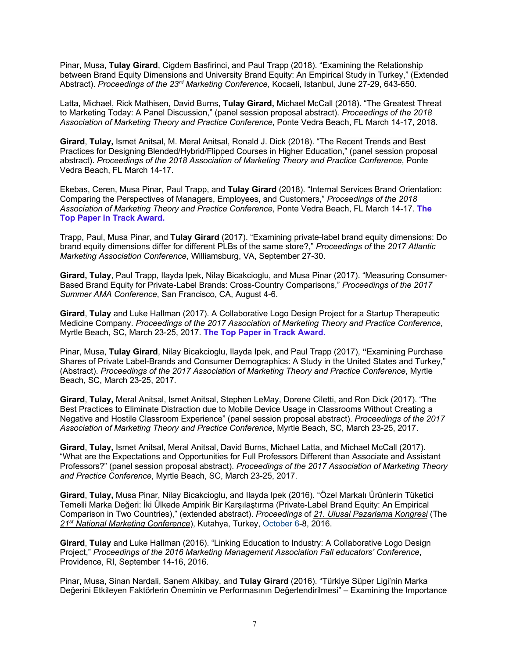Pinar, Musa, **Tulay Girard**, Cigdem Basfirinci, and Paul Trapp (2018). "Examining the Relationship between Brand Equity Dimensions and University Brand Equity: An Empirical Study in Turkey," (Extended Abstract). *Proceedings of the 23rd Marketing Conference,* Kocaeli, Istanbul, June 27-29, 643-650.

Latta, Michael, Rick Mathisen, David Burns, **Tulay Girard,** Michael McCall (2018). "The Greatest Threat to Marketing Today: A Panel Discussion," (panel session proposal abstract). *Proceedings of the 2018 Association of Marketing Theory and Practice Conference*, Ponte Vedra Beach, FL March 14-17, 2018.

**Girard**, **Tulay,** Ismet Anitsal, M. Meral Anitsal, Ronald J. Dick (2018). "The Recent Trends and Best Practices for Designing Blended/Hybrid/Flipped Courses in Higher Education," (panel session proposal abstract). *Proceedings of the 2018 Association of Marketing Theory and Practice Conference*, Ponte Vedra Beach, FL March 14-17.

Ekebas, Ceren, Musa Pinar, Paul Trapp, and **Tulay Girard** (2018). "Internal Services Brand Orientation: Comparing the Perspectives of Managers, Employees, and Customers," *Proceedings of the 2018 Association of Marketing Theory and Practice Conference*, Ponte Vedra Beach, FL March 14-17. **The Top Paper in Track Award.**

Trapp, Paul, Musa Pinar, and **Tulay Girard** (2017). "Examining private-label brand equity dimensions: Do brand equity dimensions differ for different PLBs of the same store?," *Proceedings of* the *2017 Atlantic Marketing Association Conference*, Williamsburg, VA, September 27-30.

**Girard, Tulay**, Paul Trapp, Ilayda Ipek, Nilay Bicakcioglu, and Musa Pinar (2017). "Measuring Consumer-Based Brand Equity for Private-Label Brands: Cross-Country Comparisons," *Proceedings of the 2017 Summer AMA Conference*, San Francisco, CA, August 4-6.

**Girard**, **Tulay** and Luke Hallman (2017). A Collaborative Logo Design Project for a Startup Therapeutic Medicine Company. *Proceedings of the 2017 Association of Marketing Theory and Practice Conference*, Myrtle Beach, SC, March 23-25, 2017. **The Top Paper in Track Award.**

Pinar, Musa, **Tulay Girard**, Nilay Bicakcioglu, Ilayda Ipek, and Paul Trapp (2017), **"**Examining Purchase Shares of Private Label-Brands and Consumer Demographics: A Study in the United States and Turkey," (Abstract). *Proceedings of the 2017 Association of Marketing Theory and Practice Conference*, Myrtle Beach, SC, March 23-25, 2017.

**Girard**, **Tulay,** Meral Anitsal, Ismet Anitsal, Stephen LeMay, Dorene Ciletti, and Ron Dick (2017). "The Best Practices to Eliminate Distraction due to Mobile Device Usage in Classrooms Without Creating a Negative and Hostile Classroom Experience" (panel session proposal abstract). *Proceedings of the 2017 Association of Marketing Theory and Practice Conference*, Myrtle Beach, SC, March 23-25, 2017.

**Girard**, **Tulay,** Ismet Anitsal, Meral Anitsal, David Burns, Michael Latta, and Michael McCall (2017). "What are the Expectations and Opportunities for Full Professors Different than Associate and Assistant Professors?" (panel session proposal abstract). *Proceedings of the 2017 Association of Marketing Theory and Practice Conference*, Myrtle Beach, SC, March 23-25, 2017.

**Girard**, **Tulay,** Musa Pinar, Nilay Bicakcioglu, and Ilayda Ipek (2016). "Özel Markalı Ürünlerin Tüketici Temelli Marka Değeri: İki Ülkede Ampirik Bir Karşılaştırma (Private-Label Brand Equity: An Empirical Comparison in Two Countries)," (extended abstract). *Proceedings* of *21. Ulusal Pazarlama Kongresi* (The *21st National Marketing Conference*), Kutahya, Turkey, October 6-8, 2016.

**Girard**, **Tulay** and Luke Hallman (2016). "Linking Education to Industry: A Collaborative Logo Design Project," *Proceedings of the 2016 Marketing Management Association Fall educators' Conference*, Providence, RI, September 14-16, 2016.

Pinar, Musa, Sinan Nardali, Sanem Alkibay, and **Tulay Girard** (2016). "Türkiye Süper Ligi'nin Marka Değerini Etkileyen Faktörlerin Öneminin ve Performasının Değerlendirilmesi" – Examining the Importance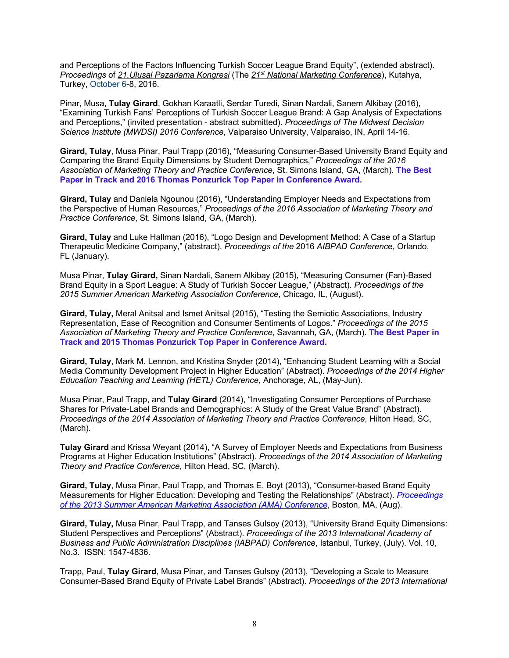and Perceptions of the Factors Influencing Turkish Soccer League Brand Equity", (extended abstract). *Proceedings* of *21.Ulusal Pazarlama Kongresi* (The *21st National Marketing Conference*), Kutahya, Turkey, October 6-8, 2016.

Pinar, Musa, **Tulay Girard**, Gokhan Karaatli, Serdar Turedi, Sinan Nardali, Sanem Alkibay (2016), "Examining Turkish Fans' Perceptions of Turkish Soccer League Brand: A Gap Analysis of Expectations and Perceptions," (invited presentation - abstract submitted). *Proceedings of The Midwest Decision Science Institute (MWDSI) 2016 Conference*, Valparaiso University, Valparaiso, IN, April 14-16.

**Girard, Tulay**, Musa Pinar, Paul Trapp (2016), "Measuring Consumer-Based University Brand Equity and Comparing the Brand Equity Dimensions by Student Demographics," *Proceedings of the 2016 Association of Marketing Theory and Practice Conference*, St. Simons Island, GA, (March). **The Best Paper in Track and 2016 Thomas Ponzurick Top Paper in Conference Award.**

**Girard, Tulay** and Daniela Ngounou (2016), "Understanding Employer Needs and Expectations from the Perspective of Human Resources," *Proceedings of the 2016 Association of Marketing Theory and Practice Conference*, St. Simons Island, GA, (March).

**Girard, Tulay** and Luke Hallman (2016), "Logo Design and Development Method: A Case of a Startup Therapeutic Medicine Company," (abstract). *Proceedings of the* 2016 *AIBPAD Conferenc*e, Orlando, FL (January).

Musa Pinar, **Tulay Girard,** Sinan Nardali, Sanem Alkibay (2015), "Measuring Consumer (Fan)-Based Brand Equity in a Sport League: A Study of Turkish Soccer League," (Abstract). *Proceedings of the 2015 Summer American Marketing Association Conference*, Chicago, IL, (August).

**Girard, Tulay,** Meral Anitsal and Ismet Anitsal (2015), "Testing the Semiotic Associations, Industry Representation, Ease of Recognition and Consumer Sentiments of Logos." *Proceedings of the 2015 Association of Marketing Theory and Practice Conference*, Savannah, GA, (March). **The Best Paper in Track and 2015 Thomas Ponzurick Top Paper in Conference Award.**

**Girard, Tulay**, Mark M. Lennon, and Kristina Snyder (2014), "Enhancing Student Learning with a Social Media Community Development Project in Higher Education" (Abstract). *Proceedings of the 2014 Higher Education Teaching and Learning (HETL) Conference*, Anchorage, AL, (May-Jun).

Musa Pinar, Paul Trapp, and **Tulay Girard** (2014), "Investigating Consumer Perceptions of Purchase Shares for Private-Label Brands and Demographics: A Study of the Great Value Brand" (Abstract). *Proceedings of the 2014 Association of Marketing Theory and Practice Conference*, Hilton Head, SC, (March).

**Tulay Girard** and Krissa Weyant (2014), "A Survey of Employer Needs and Expectations from Business Programs at Higher Education Institutions" (Abstract). *Proceedings* of *the 2014 Association of Marketing Theory and Practice Conference*, Hilton Head, SC, (March).

**Girard, Tulay**, Musa Pinar, Paul Trapp, and Thomas E. Boyt (2013), "Consumer-based Brand Equity Measurements for Higher Education: Developing and Testing the Relationships" (Abstract). *Proceedings of the 2013 Summer American Marketing Association (AMA) Conference*, Boston, MA, (Aug).

**Girard, Tulay,** Musa Pinar, Paul Trapp, and Tanses Gulsoy (2013), "University Brand Equity Dimensions: Student Perspectives and Perceptions" (Abstract). *Proceedings of the 2013 International Academy of Business and Public Administration Disciplines (IABPAD) Conference*, Istanbul, Turkey, (July). Vol. 10, No.3. ISSN: 1547-4836.

Trapp, Paul, **Tulay Girard**, Musa Pinar, and Tanses Gulsoy (2013), "Developing a Scale to Measure Consumer-Based Brand Equity of Private Label Brands" (Abstract). *Proceedings of the 2013 International*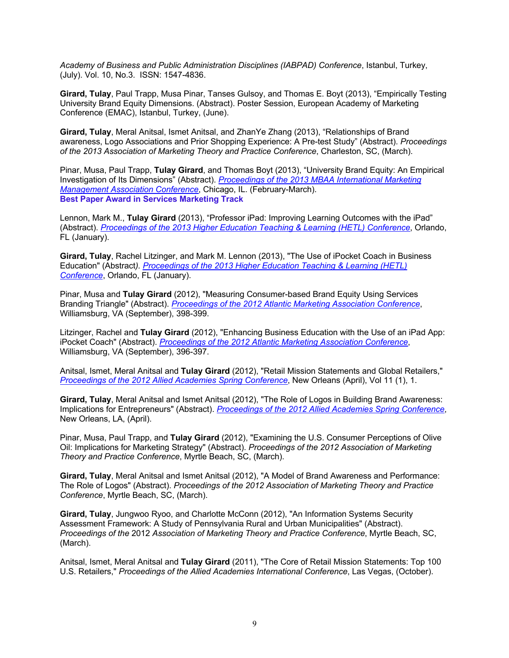*Academy of Business and Public Administration Disciplines (IABPAD) Conference*, Istanbul, Turkey, (July). Vol. 10, No.3. ISSN: 1547-4836.

**Girard, Tulay**, Paul Trapp, Musa Pinar, Tanses Gulsoy, and Thomas E. Boyt (2013), "Empirically Testing University Brand Equity Dimensions. (Abstract). Poster Session, European Academy of Marketing Conference (EMAC), Istanbul, Turkey, (June).

**Girard, Tulay**, Meral Anitsal, Ismet Anitsal, and ZhanYe Zhang (2013), "Relationships of Brand awareness, Logo Associations and Prior Shopping Experience: A Pre-test Study" (Abstract). *Proceedings of the 2013 Association of Marketing Theory and Practice Conference*, Charleston, SC, (March).

Pinar, Musa, Paul Trapp, **Tulay Girard**, and Thomas Boyt (2013), "University Brand Equity: An Empirical Investigation of Its Dimensions" (Abstract). *Proceedings of the 2013 MBAA International Marketing Management Association Conference*, Chicago, IL. (February-March). **Best Paper Award in Services Marketing Track**

Lennon, Mark M., **Tulay Girard** (2013), "Professor iPad: Improving Learning Outcomes with the iPad" (Abstract). *Proceedings of the 2013 Higher Education Teaching & Learning (HETL) Conference*, Orlando, FL (January).

**Girard, Tulay**, Rachel Litzinger, and Mark M. Lennon (2013), "The Use of iPocket Coach in Business Education" (Abstract*). Proceedings of the 2013 Higher Education Teaching & Learning (HETL) Conference*, Orlando, FL (January).

Pinar, Musa and **Tulay Girard** (2012), "Measuring Consumer-based Brand Equity Using Services Branding Triangle" (Abstract). *Proceedings of the 2012 Atlantic Marketing Association Conference*, Williamsburg, VA (September), 398-399.

Litzinger, Rachel and **Tulay Girard** (2012), "Enhancing Business Education with the Use of an iPad App: iPocket Coach" (Abstract). *Proceedings of the 2012 Atlantic Marketing Association Conference*, Williamsburg, VA (September), 396-397.

Anitsal, Ismet, Meral Anitsal and **Tulay Girard** (2012), "Retail Mission Statements and Global Retailers," *Proceedings of the 2012 Allied Academies Spring Conference*, New Orleans (April), Vol 11 (1), 1.

**Girard, Tulay**, Meral Anitsal and Ismet Anitsal (2012), "The Role of Logos in Building Brand Awareness: Implications for Entrepreneurs" (Abstract). *Proceedings of the 2012 Allied Academies Spring Conference*, New Orleans, LA, (April).

Pinar, Musa, Paul Trapp, and **Tulay Girard** (2012), "Examining the U.S. Consumer Perceptions of Olive Oil: Implications for Marketing Strategy" (Abstract). *Proceedings of the 2012 Association of Marketing Theory and Practice Conference*, Myrtle Beach, SC, (March).

**Girard, Tulay**, Meral Anitsal and Ismet Anitsal (2012), "A Model of Brand Awareness and Performance: The Role of Logos" (Abstract). *Proceedings of the 2012 Association of Marketing Theory and Practice Conference*, Myrtle Beach, SC, (March).

**Girard, Tulay**, Jungwoo Ryoo, and Charlotte McConn (2012), "An Information Systems Security Assessment Framework: A Study of Pennsylvania Rural and Urban Municipalities" (Abstract). *Proceedings of the* 2012 *Association of Marketing Theory and Practice Conference*, Myrtle Beach, SC, (March).

Anitsal, Ismet, Meral Anitsal and **Tulay Girard** (2011), "The Core of Retail Mission Statements: Top 100 U.S. Retailers," *Proceedings of the Allied Academies International Conference*, Las Vegas, (October).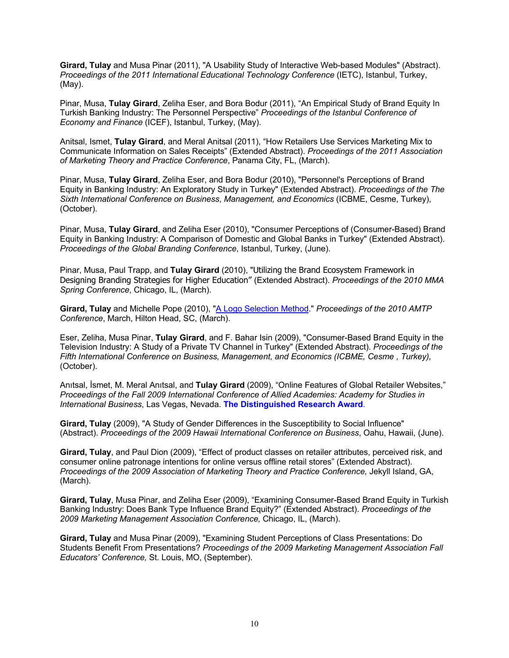**Girard, Tulay** and Musa Pinar (2011), "A Usability Study of Interactive Web-based Modules" (Abstract). *Proceedings of the 2011 International Educational Technology Conference* (IETC), Istanbul, Turkey, (May).

Pinar, Musa, **Tulay Girard**, Zeliha Eser, and Bora Bodur (2011), "An Empirical Study of Brand Equity In Turkish Banking Industry: The Personnel Perspective" *Proceedings of the Istanbul Conference of Economy and Finance* (ICEF), Istanbul, Turkey, (May).

Anitsal, Ismet, **Tulay Girard**, and Meral Anitsal (2011), "How Retailers Use Services Marketing Mix to Communicate Information on Sales Receipts" (Extended Abstract). *Proceedings of the 2011 Association of Marketing Theory and Practice Conference*, Panama City, FL, (March).

Pinar, Musa, **Tulay Girard**, Zeliha Eser, and Bora Bodur (2010), "Personnel's Perceptions of Brand Equity in Banking Industry: An Exploratory Study in Turkey" (Extended Abstract). *Proceedings of the The Sixth International Conference on Business*, *Management, and Economics* (ICBME, Cesme, Turkey), (October).

Pinar, Musa, **Tulay Girard**, and Zeliha Eser (2010), "Consumer Perceptions of (Consumer-Based) Brand Equity in Banking Industry: A Comparison of Domestic and Global Banks in Turkey" (Extended Abstract). *Proceedings of the Global Branding Conference*, Istanbul, Turkey, (June).

Pinar, Musa, Paul Trapp, and **Tulay Girard** (2010), "Utilizing the Brand Ecosystem Framework in Designing Branding Strategies for Higher Education" (Extended Abstract). *Proceedings of the 2010 MMA Spring Conference*, Chicago, IL, (March).

**Girard, Tulay** and Michelle Pope (2010), "A Logo Selection Method." *Proceedings of the 2010 AMTP Conference*, March, Hilton Head, SC, (March).

Eser, Zeliha, Musa Pinar, **Tulay Girard**, and F. Bahar Isin (2009), "Consumer-Based Brand Equity in the Television Industry: A Study of a Private TV Channel in Turkey" (Extended Abstract). *Proceedings of the Fifth International Conference on Business, Management, and Economics (ICBME, Cesme , Turkey),*  (October).

Anıtsal, İsmet, M. Meral Anıtsal, and **Tulay Girard** (2009), "Online Features of Global Retailer Websites," *Proceedings of the Fall 2009 International Conference of Allied Academies: Academy for Studies in International Business*, Las Vegas, Nevada. **The Distinguished Research Award**.

**Girard, Tulay** (2009), "A Study of Gender Differences in the Susceptibility to Social Influence" (Abstract). *Proceedings of the 2009 Hawaii International Conference on Business*, Oahu, Hawaii, (June).

**Girard, Tulay**, and Paul Dion (2009), "Effect of product classes on retailer attributes, perceived risk, and consumer online patronage intentions for online versus offline retail stores" (Extended Abstract). *Proceedings of the 2009 Association of Marketing Theory and Practice Conference,* Jekyll Island, GA, (March).

**Girard, Tulay**, Musa Pinar, and Zeliha Eser (2009), "Examining Consumer-Based Brand Equity in Turkish Banking Industry: Does Bank Type Influence Brand Equity?" (Extended Abstract). *Proceedings of the 2009 Marketing Management Association Conference,* Chicago, IL, (March).

**Girard, Tulay** and Musa Pinar (2009), "Examining Student Perceptions of Class Presentations: Do Students Benefit From Presentations? *Proceedings of the 2009 Marketing Management Association Fall Educators' Conference,* St. Louis, MO, (September).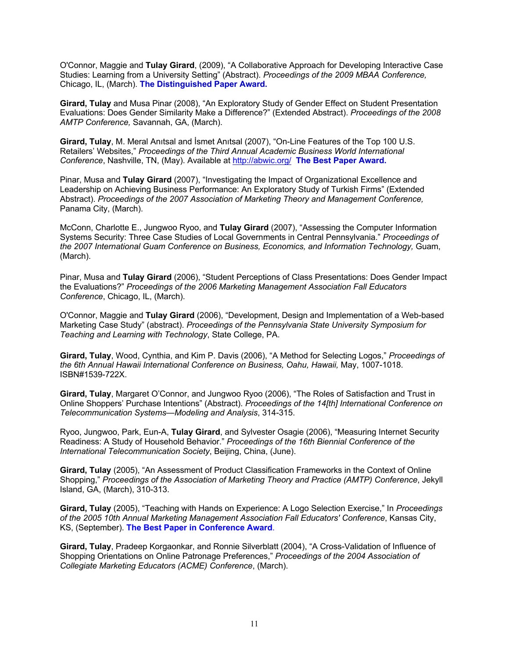O'Connor, Maggie and **Tulay Girard**, (2009), "A Collaborative Approach for Developing Interactive Case Studies: Learning from a University Setting" (Abstract). *Proceedings of the 2009 MBAA Conference,* Chicago, IL, (March). **The Distinguished Paper Award.**

**Girard, Tulay** and Musa Pinar (2008), "An Exploratory Study of Gender Effect on Student Presentation Evaluations: Does Gender Similarity Make a Difference?" (Extended Abstract). *Proceedings of the 2008 AMTP Conference,* Savannah, GA, (March).

**Girard, Tulay**, M. Meral Anıtsal and İsmet Anıtsal (2007), "On-Line Features of the Top 100 U.S. Retailers' Websites," *Proceedings of the Third Annual Academic Business World International Conference*, Nashville, TN, (May). Available at http://abwic.org/ **The Best Paper Award.**

Pinar, Musa and **Tulay Girard** (2007), "Investigating the Impact of Organizational Excellence and Leadership on Achieving Business Performance: An Exploratory Study of Turkish Firms" (Extended Abstract). *Proceedings of the 2007 Association of Marketing Theory and Management Conference,* Panama City, (March).

McConn, Charlotte E., Jungwoo Ryoo, and **Tulay Girard** (2007), "Assessing the Computer Information Systems Security: Three Case Studies of Local Governments in Central Pennsylvania." *Proceedings of the 2007 International Guam Conference on Business, Economics, and Information Technology,* Guam, (March).

Pinar, Musa and **Tulay Girard** (2006), "Student Perceptions of Class Presentations: Does Gender Impact the Evaluations?" *Proceedings of the 2006 Marketing Management Association Fall Educators Conference*, Chicago, IL, (March).

O'Connor, Maggie and **Tulay Girard** (2006), "Development, Design and Implementation of a Web-based Marketing Case Study" (abstract). *Proceedings of the Pennsylvania State University Symposium for Teaching and Learning with Technology*, State College, PA.

**Girard, Tulay**, Wood, Cynthia, and Kim P. Davis (2006), "A Method for Selecting Logos," *Proceedings of the 6th Annual Hawaii International Conference on Business, Oahu, Hawaii,* May, 1007-1018. ISBN#1539-722X.

**Girard, Tulay**, Margaret O'Connor, and Jungwoo Ryoo (2006), "The Roles of Satisfaction and Trust in Online Shoppers' Purchase Intentions" (Abstract). *Proceedings of the 14[th] International Conference on Telecommunication Systems—Modeling and Analysis*, 314-315.

Ryoo, Jungwoo, Park, Eun-A, **Tulay Girard**, and Sylvester Osagie (2006), "Measuring Internet Security Readiness: A Study of Household Behavior." *Proceedings of the 16th Biennial Conference of the International Telecommunication Society*, Beijing, China, (June).

**Girard, Tulay** (2005), "An Assessment of Product Classification Frameworks in the Context of Online Shopping," *Proceedings of the Association of Marketing Theory and Practice (AMTP) Conference*, Jekyll Island, GA, (March), 310-313.

**Girard, Tulay** (2005), "Teaching with Hands on Experience: A Logo Selection Exercise," In *Proceedings of the 2005 10th Annual Marketing Management Association Fall Educators' Conference*, Kansas City, KS, (September). **The Best Paper in Conference Award**.

**Girard, Tulay**, Pradeep Korgaonkar, and Ronnie Silverblatt (2004), "A Cross-Validation of Influence of Shopping Orientations on Online Patronage Preferences," *Proceedings of the 2004 Association of Collegiate Marketing Educators (ACME) Conference*, (March).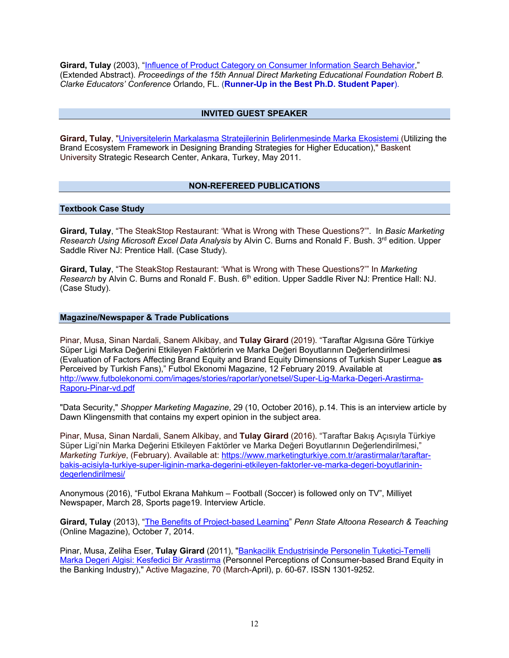**Girard, Tulay** (2003), "Influence of Product Category on Consumer Information Search Behavior," (Extended Abstract). *Proceedings of the 15th Annual Direct Marketing Educational Foundation Robert B. Clarke Educators' Conference* Orlando, FL. (**Runner-Up in the Best Ph.D. Student Paper**).

## **INVITED GUEST SPEAKER**

**Girard, Tulay**, "Universitelerin Markalasma Stratejilerinin Belirlenmesinde Marka Ekosistemi (Utilizing the Brand Ecosystem Framework in Designing Branding Strategies for Higher Education)," Baskent University Strategic Research Center, Ankara, Turkey, May 2011.

# **NON-REFEREED PUBLICATIONS**

#### **Textbook Case Study**

**Girard, Tulay**, "The SteakStop Restaurant: 'What is Wrong with These Questions?'". In *Basic Marketing Research Using Microsoft Excel Data Analysis* by Alvin C. Burns and Ronald F. Bush. 3<sup>rd</sup> edition. Upper Saddle River NJ: Prentice Hall. (Case Study).

**Girard, Tulay**, "The SteakStop Restaurant: 'What is Wrong with These Questions?'" In *Marketing Research* by Alvin C. Burns and Ronald F. Bush. 6th edition. Upper Saddle River NJ: Prentice Hall: NJ. (Case Study).

#### **Magazine/Newspaper & Trade Publications**

Pinar, Musa, Sinan Nardali, Sanem Alkibay, and **Tulay Girard** (2019). "Taraftar Algısına Göre Türkiye Süper Ligi Marka Değerini Etkileyen Faktörlerin ve Marka Değeri Boyutlarının Değerlendirilmesi (Evaluation of Factors Affecting Brand Equity and Brand Equity Dimensions of Turkish Super League **as**  Perceived by Turkish Fans)," Futbol Ekonomi Magazine, 12 February 2019. Available at http://www.futbolekonomi.com/images/stories/raporlar/yonetsel/Super-Lig-Marka-Degeri-Arastirma-Raporu-Pinar-vd.pdf

"Data Security," *Shopper Marketing Magazine*, 29 (10, October 2016), p.14. This is an interview article by Dawn Klingensmith that contains my expert opinion in the subject area.

Pinar, Musa, Sinan Nardali, Sanem Alkibay, and **Tulay Girard** (2016). "Taraftar Bakış Açısıyla Türkiye Süper Ligi'nin Marka Değerini Etkileyen Faktörler ve Marka Değeri Boyutlarının Değerlendirilmesi," *Marketing Turkiye*, (February). Available at: https://www.marketingturkiye.com.tr/arastirmalar/taraftarbakis-acisiyla-turkiye-super-liginin-marka-degerini-etkileyen-faktorler-ve-marka-degeri-boyutlarinindegerlendirilmesi/

Anonymous (2016), "Futbol Ekrana Mahkum – Football (Soccer) is followed only on TV", Milliyet Newspaper, March 28, Sports page19. Interview Article.

**Girard, Tulay** (2013), "The Benefits of Project-based Learning" *Penn State Altoona Research & Teaching* (Online Magazine), October 7, 2014.

Pinar, Musa, Zeliha Eser, **Tulay Girard** (2011), "Bankacilik Endustrisinde Personelin Tuketici-Temelli Marka Degeri Algisi: Kesfedici Bir Arastirma (Personnel Perceptions of Consumer-based Brand Equity in the Banking Industry)," Active Magazine, 70 (March-April), p. 60-67. ISSN 1301-9252.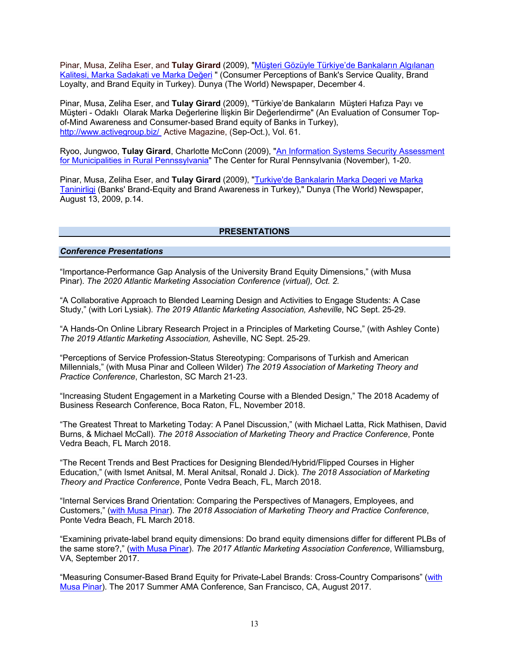Pinar, Musa, Zeliha Eser, and **Tulay Girard** (2009), "Müşteri Gözüyle Türkiye'de Bankaların Algılanan Kalitesi, Marka Sadakati ve Marka Değeri " (Consumer Perceptions of Bank's Service Quality, Brand Loyalty, and Brand Equity in Turkey). Dunya (The World) Newspaper, December 4.

Pinar, Musa, Zeliha Eser, and **Tulay Girard** (2009), "Türkiye'de Bankaların Müşteri Hafıza Payı ve Müşteri - Odaklı Olarak Marka Değerlerine İlişkin Bir Değerlendirme" (An Evaluation of Consumer Topof-Mind Awareness and Consumer-based Brand equity of Banks in Turkey), http://www.activegroup.biz/ Active Magazine, (Sep-Oct.), Vol. 61.

Ryoo, Jungwoo, **Tulay Girard**, Charlotte McConn (2009), "An Information Systems Security Assessment for Municipalities in Rural Pennssylvania" The Center for Rural Pennsylvania (November), 1-20.

Pinar, Musa, Zeliha Eser, and **Tulay Girard** (2009), "Turkiye'de Bankalarin Marka Degeri ve Marka Taninirligi (Banks' Brand-Equity and Brand Awareness in Turkey)," Dunya (The World) Newspaper, August 13, 2009, p.14.

#### **PRESENTATIONS**

#### *Conference Presentations*

"Importance-Performance Gap Analysis of the University Brand Equity Dimensions," (with Musa Pinar). *The 2020 Atlantic Marketing Association Conference (virtual), Oct. 2.*

"A Collaborative Approach to Blended Learning Design and Activities to Engage Students: A Case Study," (with Lori Lysiak). *The 2019 Atlantic Marketing Association, Asheville*, NC Sept. 25-29.

"A Hands-On Online Library Research Project in a Principles of Marketing Course," (with Ashley Conte) *The 2019 Atlantic Marketing Association,* Asheville, NC Sept. 25-29.

"Perceptions of Service Profession-Status Stereotyping: Comparisons of Turkish and American Millennials," (with Musa Pinar and Colleen Wilder) *The 2019 Association of Marketing Theory and Practice Conference*, Charleston, SC March 21-23.

"Increasing Student Engagement in a Marketing Course with a Blended Design," The 2018 Academy of Business Research Conference, Boca Raton, FL, November 2018.

"The Greatest Threat to Marketing Today: A Panel Discussion," (with Michael Latta, Rick Mathisen, David Burns, & Michael McCall). *The 2018 Association of Marketing Theory and Practice Conference*, Ponte Vedra Beach, FL March 2018.

"The Recent Trends and Best Practices for Designing Blended/Hybrid/Flipped Courses in Higher Education," (with Ismet Anitsal, M. Meral Anitsal, Ronald J. Dick). *The 2018 Association of Marketing Theory and Practice Conference*, Ponte Vedra Beach, FL, March 2018.

"Internal Services Brand Orientation: Comparing the Perspectives of Managers, Employees, and Customers," (with Musa Pinar). *The 2018 Association of Marketing Theory and Practice Conference*, Ponte Vedra Beach, FL March 2018.

"Examining private-label brand equity dimensions: Do brand equity dimensions differ for different PLBs of the same store?," (with Musa Pinar). *Th*e *2017 Atlantic Marketing Association Conference*, Williamsburg, VA, September 2017.

"Measuring Consumer-Based Brand Equity for Private-Label Brands: Cross-Country Comparisons" (with Musa Pinar). The 2017 Summer AMA Conference, San Francisco, CA, August 2017.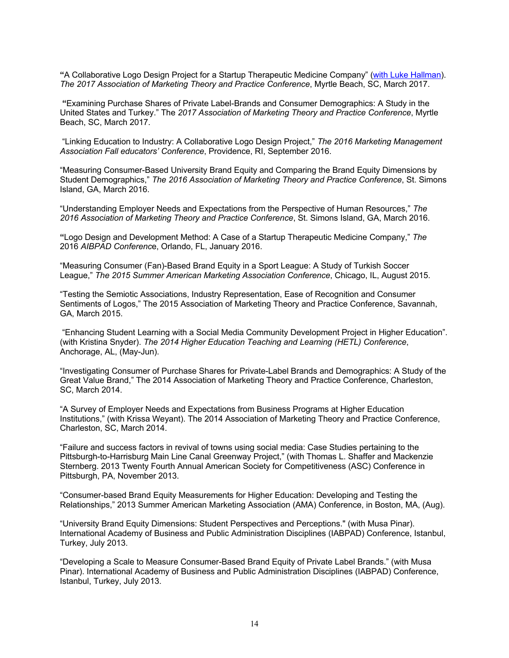**"**A Collaborative Logo Design Project for a Startup Therapeutic Medicine Company" (with Luke Hallman). *The 2017 Association of Marketing Theory and Practice Conference*, Myrtle Beach, SC, March 2017.

**"**Examining Purchase Shares of Private Label-Brands and Consumer Demographics: A Study in the United States and Turkey." The *2017 Association of Marketing Theory and Practice Conference*, Myrtle Beach, SC, March 2017.

"Linking Education to Industry: A Collaborative Logo Design Project," *The 2016 Marketing Management Association Fall educators' Conference*, Providence, RI, September 2016.

"Measuring Consumer-Based University Brand Equity and Comparing the Brand Equity Dimensions by Student Demographics," *The 2016 Association of Marketing Theory and Practice Conference*, St. Simons Island, GA, March 2016.

"Understanding Employer Needs and Expectations from the Perspective of Human Resources," *The 2016 Association of Marketing Theory and Practice Conference*, St. Simons Island, GA, March 2016.

**"**Logo Design and Development Method: A Case of a Startup Therapeutic Medicine Company," *The*  2016 *AIBPAD Conferenc*e, Orlando, FL, January 2016.

"Measuring Consumer (Fan)-Based Brand Equity in a Sport League: A Study of Turkish Soccer League," *The 2015 Summer American Marketing Association Conference*, Chicago, IL, August 2015.

"Testing the Semiotic Associations, Industry Representation, Ease of Recognition and Consumer Sentiments of Logos," The 2015 Association of Marketing Theory and Practice Conference, Savannah, GA, March 2015.

"Enhancing Student Learning with a Social Media Community Development Project in Higher Education". (with Kristina Snyder). *The 2014 Higher Education Teaching and Learning (HETL) Conference*, Anchorage, AL, (May-Jun).

"Investigating Consumer of Purchase Shares for Private-Label Brands and Demographics: A Study of the Great Value Brand," The 2014 Association of Marketing Theory and Practice Conference, Charleston, SC, March 2014.

"A Survey of Employer Needs and Expectations from Business Programs at Higher Education Institutions," (with Krissa Weyant). The 2014 Association of Marketing Theory and Practice Conference, Charleston, SC, March 2014.

"Failure and success factors in revival of towns using social media: Case Studies pertaining to the Pittsburgh-to-Harrisburg Main Line Canal Greenway Project," (with Thomas L. Shaffer and Mackenzie Sternberg. 2013 Twenty Fourth Annual American Society for Competitiveness (ASC) Conference in Pittsburgh, PA, November 2013.

"Consumer-based Brand Equity Measurements for Higher Education: Developing and Testing the Relationships," 2013 Summer American Marketing Association (AMA) Conference, in Boston, MA, (Aug).

"University Brand Equity Dimensions: Student Perspectives and Perceptions." (with Musa Pinar). International Academy of Business and Public Administration Disciplines (IABPAD) Conference, Istanbul, Turkey, July 2013.

"Developing a Scale to Measure Consumer-Based Brand Equity of Private Label Brands." (with Musa Pinar). International Academy of Business and Public Administration Disciplines (IABPAD) Conference, Istanbul, Turkey, July 2013.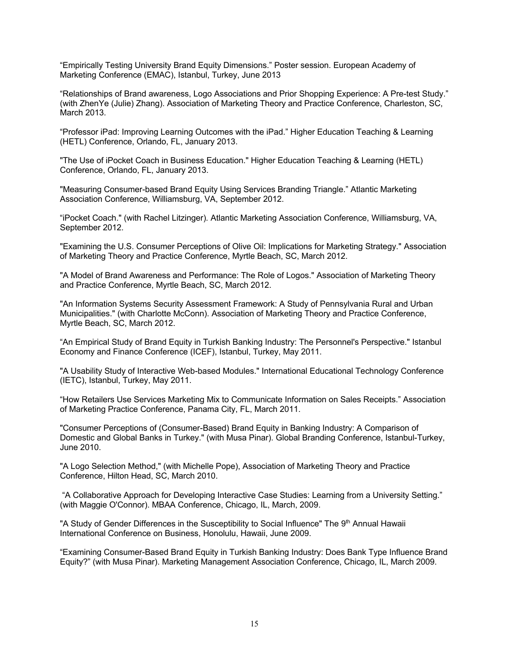"Empirically Testing University Brand Equity Dimensions." Poster session. European Academy of Marketing Conference (EMAC), Istanbul, Turkey, June 2013

"Relationships of Brand awareness, Logo Associations and Prior Shopping Experience: A Pre-test Study." (with ZhenYe (Julie) Zhang). Association of Marketing Theory and Practice Conference, Charleston, SC, March 2013.

"Professor iPad: Improving Learning Outcomes with the iPad." Higher Education Teaching & Learning (HETL) Conference, Orlando, FL, January 2013.

"The Use of iPocket Coach in Business Education." Higher Education Teaching & Learning (HETL) Conference, Orlando, FL, January 2013.

"Measuring Consumer-based Brand Equity Using Services Branding Triangle." Atlantic Marketing Association Conference, Williamsburg, VA, September 2012.

"iPocket Coach." (with Rachel Litzinger)*.* Atlantic Marketing Association Conference, Williamsburg, VA, September 2012.

"Examining the U.S. Consumer Perceptions of Olive Oil: Implications for Marketing Strategy." Association of Marketing Theory and Practice Conference, Myrtle Beach, SC, March 2012.

"A Model of Brand Awareness and Performance: The Role of Logos." Association of Marketing Theory and Practice Conference, Myrtle Beach, SC, March 2012.

"An Information Systems Security Assessment Framework: A Study of Pennsylvania Rural and Urban Municipalities." (with Charlotte McConn). Association of Marketing Theory and Practice Conference, Myrtle Beach, SC, March 2012.

"An Empirical Study of Brand Equity in Turkish Banking Industry: The Personnel's Perspective." Istanbul Economy and Finance Conference (ICEF), Istanbul, Turkey, May 2011.

"A Usability Study of Interactive Web-based Modules." International Educational Technology Conference (IETC), Istanbul, Turkey, May 2011.

"How Retailers Use Services Marketing Mix to Communicate Information on Sales Receipts." Association of Marketing Practice Conference, Panama City, FL, March 2011.

"Consumer Perceptions of (Consumer-Based) Brand Equity in Banking Industry: A Comparison of Domestic and Global Banks in Turkey." (with Musa Pinar). Global Branding Conference, Istanbul-Turkey, June 2010.

"A Logo Selection Method," (with Michelle Pope), Association of Marketing Theory and Practice Conference, Hilton Head, SC, March 2010.

"A Collaborative Approach for Developing Interactive Case Studies: Learning from a University Setting." (with Maggie O'Connor). MBAA Conference, Chicago, IL, March, 2009.

"A Study of Gender Differences in the Susceptibility to Social Influence" The 9<sup>th</sup> Annual Hawaii International Conference on Business, Honolulu, Hawaii, June 2009.

"Examining Consumer-Based Brand Equity in Turkish Banking Industry: Does Bank Type Influence Brand Equity?" (with Musa Pinar). Marketing Management Association Conference, Chicago, IL, March 2009.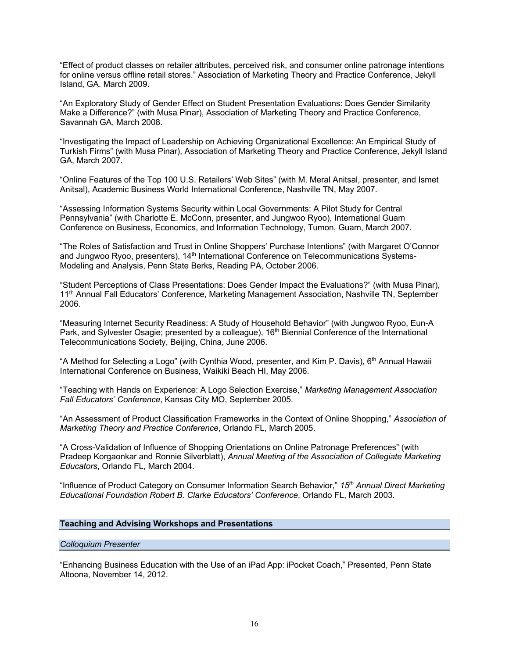"Effect of product classes on retailer attributes, perceived risk, and consumer online patronage intentions for online versus offline retail stores." Association of Marketing Theory and Practice Conference, Jekyll Island, GA. March 2009.

"An Exploratory Study of Gender Effect on Student Presentation Evaluations: Does Gender Similarity Make a Difference?" (with Musa Pinar), Association of Marketing Theory and Practice Conference, Savannah GA, March 2008.

"Investigating the Impact of Leadership on Achieving Organizational Excellence: An Empirical Study of Turkish Firms" (with Musa Pinar), Association of Marketing Theory and Practice Conference, Jekyll Island GA, March 2007.

"Online Features of the Top 100 U.S. Retailers' Web Sites" (with M. Meral Anitsal, presenter, and Ismet Anitsal), Academic Business World International Conference, Nashville TN, May 2007.

"Assessing Information Systems Security within Local Governments: A Pilot Study for Central Pennsylvania" (with Charlotte E. McConn, presenter, and Jungwoo Ryoo), International Guam Conference on Business, Economics, and Information Technology, Tumon, Guam, March 2007.

"The Roles of Satisfaction and Trust in Online Shoppers' Purchase Intentions" (with Margaret O'Connor and Jungwoo Ryoo, presenters), 14<sup>th</sup> International Conference on Telecommunications Systems-Modeling and Analysis, Penn State Berks, Reading PA, October 2006.

"Student Perceptions of Class Presentations: Does Gender Impact the Evaluations?" (with Musa Pinar), 11th Annual Fall Educators' Conference, Marketing Management Association, Nashville TN, September 2006.

"Measuring Internet Security Readiness: A Study of Household Behavior" (with Jungwoo Ryoo, Eun-A Park, and Sylvester Osagie; presented by a colleague), 16<sup>th</sup> Biennial Conference of the International Telecommunications Society, Beijing, China, June 2006.

"A Method for Selecting a Logo" (with Cynthia Wood, presenter, and Kim P. Davis),  $6<sup>th</sup>$  Annual Hawaii International Conference on Business, Waikiki Beach HI, May 2006.

"Teaching with Hands on Experience: A Logo Selection Exercise," *Marketing Management Association Fall Educators' Conference*, Kansas City MO, September 2005.

"An Assessment of Product Classification Frameworks in the Context of Online Shopping," *Association of Marketing Theory and Practice Conference*, Orlando FL, March 2005.

"A Cross-Validation of Influence of Shopping Orientations on Online Patronage Preferences" (with Pradeep Korgaonkar and Ronnie Silverblatt), *Annual Meeting of the Association of Collegiate Marketing Educators*, Orlando FL, March 2004.

"Influence of Product Category on Consumer Information Search Behavior," *15th Annual Direct Marketing Educational Foundation Robert B. Clarke Educators' Conference*, Orlando FL, March 2003.

## **Teaching and Advising Workshops and Presentations**

#### *Colloquium Presenter*

"Enhancing Business Education with the Use of an iPad App: iPocket Coach," Presented, Penn State Altoona, November 14, 2012.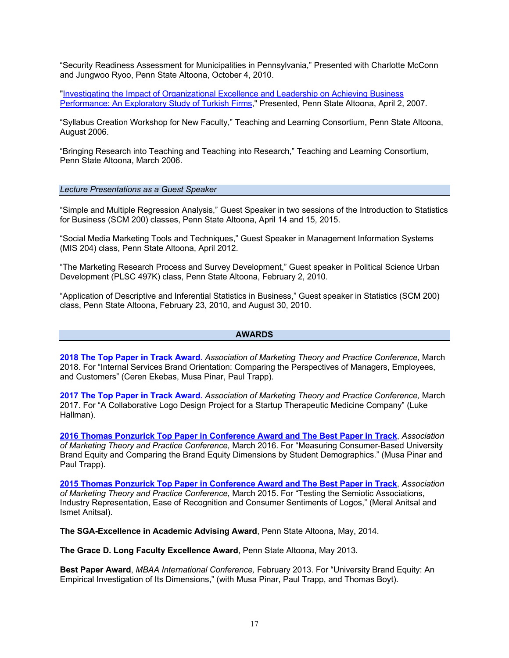"Security Readiness Assessment for Municipalities in Pennsylvania," Presented with Charlotte McConn and Jungwoo Ryoo, Penn State Altoona, October 4, 2010.

"Investigating the Impact of Organizational Excellence and Leadership on Achieving Business Performance: An Exploratory Study of Turkish Firms," Presented, Penn State Altoona, April 2, 2007.

"Syllabus Creation Workshop for New Faculty," Teaching and Learning Consortium, Penn State Altoona, August 2006.

"Bringing Research into Teaching and Teaching into Research," Teaching and Learning Consortium, Penn State Altoona, March 2006.

*Lecture Presentations as a Guest Speaker*

"Simple and Multiple Regression Analysis," Guest Speaker in two sessions of the Introduction to Statistics for Business (SCM 200) classes, Penn State Altoona, April 14 and 15, 2015.

"Social Media Marketing Tools and Techniques," Guest Speaker in Management Information Systems (MIS 204) class, Penn State Altoona, April 2012.

"The Marketing Research Process and Survey Development," Guest speaker in Political Science Urban Development (PLSC 497K) class, Penn State Altoona, February 2, 2010.

"Application of Descriptive and Inferential Statistics in Business," Guest speaker in Statistics (SCM 200) class, Penn State Altoona, February 23, 2010, and August 30, 2010.

#### **AWARDS**

**2018 The Top Paper in Track Award.** *Association of Marketing Theory and Practice Conference,* March 2018. For "Internal Services Brand Orientation: Comparing the Perspectives of Managers, Employees, and Customers" (Ceren Ekebas, Musa Pinar, Paul Trapp).

**2017 The Top Paper in Track Award.** *Association of Marketing Theory and Practice Conference,* March 2017. For "A Collaborative Logo Design Project for a Startup Therapeutic Medicine Company" (Luke Hallman).

**2016 Thomas Ponzurick Top Paper in Conference Award and The Best Paper in Track**, *Association of Marketing Theory and Practice Conference,* March 2016. For "Measuring Consumer-Based University Brand Equity and Comparing the Brand Equity Dimensions by Student Demographics." (Musa Pinar and Paul Trapp).

**2015 Thomas Ponzurick Top Paper in Conference Award and The Best Paper in Track**, *Association of Marketing Theory and Practice Conference,* March 2015. For "Testing the Semiotic Associations, Industry Representation, Ease of Recognition and Consumer Sentiments of Logos," (Meral Anitsal and Ismet Anitsal).

**The SGA-Excellence in Academic Advising Award**, Penn State Altoona, May, 2014.

**The Grace D. Long Faculty Excellence Award**, Penn State Altoona, May 2013.

**Best Paper Award**, *MBAA International Conference,* February 2013. For "University Brand Equity: An Empirical Investigation of Its Dimensions," (with Musa Pinar, Paul Trapp, and Thomas Boyt).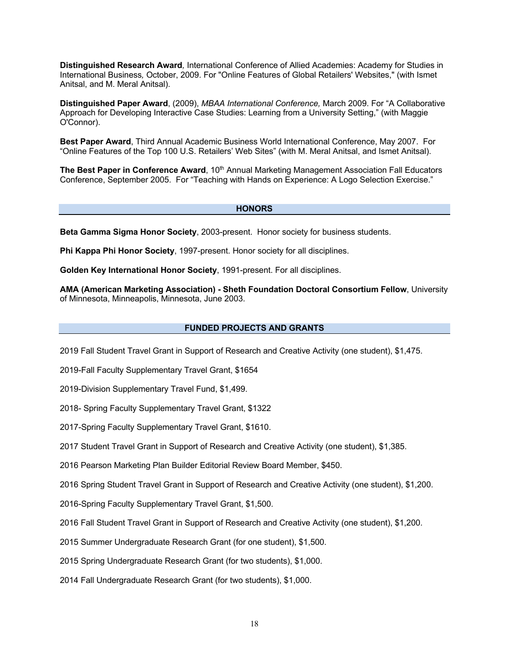**Distinguished Research Award***,* International Conference of Allied Academies: Academy for Studies in International Business*,* October, 2009. For "Online Features of Global Retailers' Websites," (with Ismet Anitsal, and M. Meral Anitsal).

**Distinguished Paper Award**, (2009), *MBAA International Conference,* March 2009. For "A Collaborative Approach for Developing Interactive Case Studies: Learning from a University Setting," (with Maggie O'Connor).

**Best Paper Award**, Third Annual Academic Business World International Conference, May 2007. For "Online Features of the Top 100 U.S. Retailers' Web Sites" (with M. Meral Anitsal, and Ismet Anitsal).

**The Best Paper in Conference Award**, 10<sup>th</sup> Annual Marketing Management Association Fall Educators Conference, September 2005. For "Teaching with Hands on Experience: A Logo Selection Exercise."

#### **HONORS**

**Beta Gamma Sigma Honor Society**, 2003-present. Honor society for business students.

**Phi Kappa Phi Honor Society**, 1997-present. Honor society for all disciplines.

**Golden Key International Honor Society**, 1991-present. For all disciplines.

**AMA (American Marketing Association) - Sheth Foundation Doctoral Consortium Fellow**, University of Minnesota, Minneapolis, Minnesota, June 2003.

## **FUNDED PROJECTS AND GRANTS**

2019 Fall Student Travel Grant in Support of Research and Creative Activity (one student), \$1,475.

2019-Fall Faculty Supplementary Travel Grant, \$1654

2019-Division Supplementary Travel Fund, \$1,499.

2018- Spring Faculty Supplementary Travel Grant, \$1322

2017-Spring Faculty Supplementary Travel Grant, \$1610.

2017 Student Travel Grant in Support of Research and Creative Activity (one student), \$1,385.

2016 Pearson Marketing Plan Builder Editorial Review Board Member, \$450.

2016 Spring Student Travel Grant in Support of Research and Creative Activity (one student), \$1,200.

2016-Spring Faculty Supplementary Travel Grant, \$1,500.

2016 Fall Student Travel Grant in Support of Research and Creative Activity (one student), \$1,200.

2015 Summer Undergraduate Research Grant (for one student), \$1,500.

2015 Spring Undergraduate Research Grant (for two students), \$1,000.

2014 Fall Undergraduate Research Grant (for two students), \$1,000.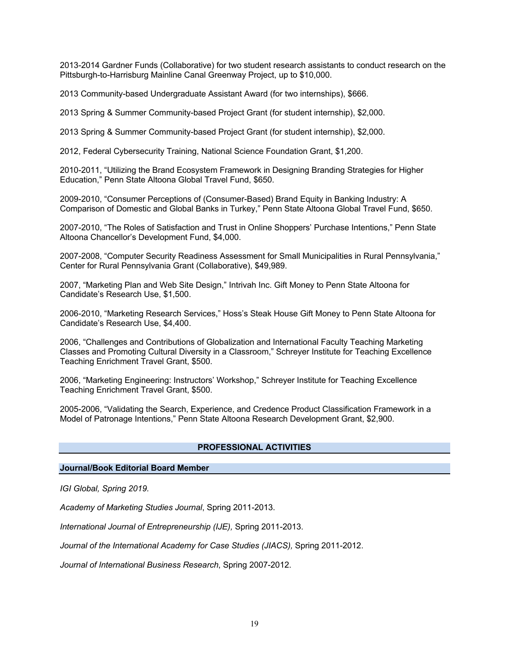2013-2014 Gardner Funds (Collaborative) for two student research assistants to conduct research on the Pittsburgh-to-Harrisburg Mainline Canal Greenway Project, up to \$10,000.

2013 Community-based Undergraduate Assistant Award (for two internships), \$666.

2013 Spring & Summer Community-based Project Grant (for student internship), \$2,000.

2013 Spring & Summer Community-based Project Grant (for student internship), \$2,000.

2012, Federal Cybersecurity Training, National Science Foundation Grant, \$1,200.

2010-2011, "Utilizing the Brand Ecosystem Framework in Designing Branding Strategies for Higher Education," Penn State Altoona Global Travel Fund, \$650.

2009-2010, "Consumer Perceptions of (Consumer-Based) Brand Equity in Banking Industry: A Comparison of Domestic and Global Banks in Turkey," Penn State Altoona Global Travel Fund, \$650.

2007-2010, "The Roles of Satisfaction and Trust in Online Shoppers' Purchase Intentions," Penn State Altoona Chancellor's Development Fund, \$4,000.

2007-2008, "Computer Security Readiness Assessment for Small Municipalities in Rural Pennsylvania," Center for Rural Pennsylvania Grant (Collaborative), \$49,989.

2007, "Marketing Plan and Web Site Design," Intrivah Inc. Gift Money to Penn State Altoona for Candidate's Research Use, \$1,500.

2006-2010, "Marketing Research Services," Hoss's Steak House Gift Money to Penn State Altoona for Candidate's Research Use, \$4,400.

2006, "Challenges and Contributions of Globalization and International Faculty Teaching Marketing Classes and Promoting Cultural Diversity in a Classroom," Schreyer Institute for Teaching Excellence Teaching Enrichment Travel Grant, \$500.

2006, "Marketing Engineering: Instructors' Workshop," Schreyer Institute for Teaching Excellence Teaching Enrichment Travel Grant, \$500.

2005-2006, "Validating the Search, Experience, and Credence Product Classification Framework in a Model of Patronage Intentions," Penn State Altoona Research Development Grant, \$2,900.

# **PROFESSIONAL ACTIVITIES**

## **Journal/Book Editorial Board Member**

*IGI Global, Spring 2019.*

*Academy of Marketing Studies Journal*, Spring 2011-2013.

*International Journal of Entrepreneurship (IJE),* Spring 2011-2013.

*Journal of the International Academy for Case Studies (JIACS),* Spring 2011-2012.

*Journal of International Business Research*, Spring 2007-2012.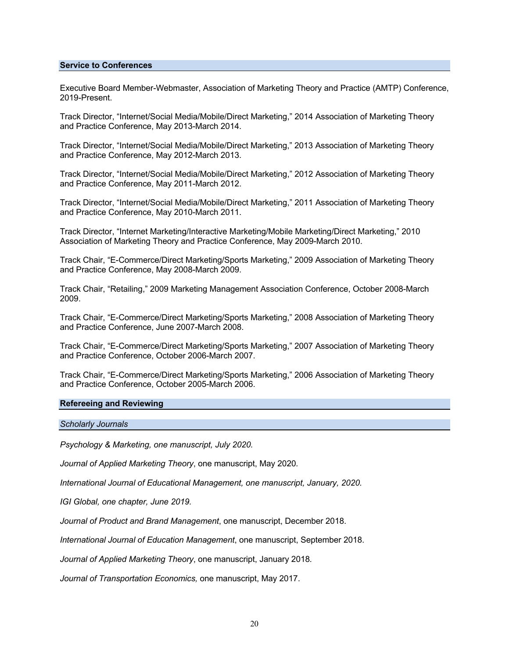#### **Service to Conferences**

Executive Board Member-Webmaster, Association of Marketing Theory and Practice (AMTP) Conference, 2019-Present.

Track Director, "Internet/Social Media/Mobile/Direct Marketing," 2014 Association of Marketing Theory and Practice Conference, May 2013-March 2014.

Track Director, "Internet/Social Media/Mobile/Direct Marketing," 2013 Association of Marketing Theory and Practice Conference, May 2012-March 2013.

Track Director, "Internet/Social Media/Mobile/Direct Marketing," 2012 Association of Marketing Theory and Practice Conference, May 2011-March 2012.

Track Director, "Internet/Social Media/Mobile/Direct Marketing," 2011 Association of Marketing Theory and Practice Conference, May 2010-March 2011.

Track Director, "Internet Marketing/Interactive Marketing/Mobile Marketing/Direct Marketing," 2010 Association of Marketing Theory and Practice Conference, May 2009-March 2010.

Track Chair, "E-Commerce/Direct Marketing/Sports Marketing," 2009 Association of Marketing Theory and Practice Conference, May 2008-March 2009.

Track Chair, "Retailing," 2009 Marketing Management Association Conference, October 2008-March 2009.

Track Chair, "E-Commerce/Direct Marketing/Sports Marketing," 2008 Association of Marketing Theory and Practice Conference, June 2007-March 2008.

Track Chair, "E-Commerce/Direct Marketing/Sports Marketing," 2007 Association of Marketing Theory and Practice Conference, October 2006-March 2007.

Track Chair, "E-Commerce/Direct Marketing/Sports Marketing," 2006 Association of Marketing Theory and Practice Conference, October 2005-March 2006.

#### **Refereeing and Reviewing**

#### *Scholarly Journals*

*Psychology & Marketing, one manuscript, July 2020.*

*Journal of Applied Marketing Theory*, one manuscript, May 2020*.*

*International Journal of Educational Management, one manuscript, January, 2020.*

*IGI Global, one chapter, June 2019.*

*Journal of Product and Brand Management*, one manuscript, December 2018.

*International Journal of Education Management*, one manuscript, September 2018.

*Journal of Applied Marketing Theory*, one manuscript, January 2018*.*

*Journal of Transportation Economics,* one manuscript, May 2017.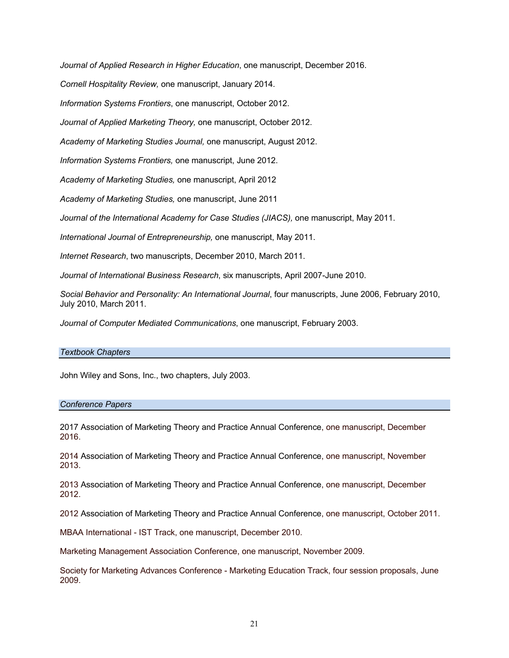*Journal of Applied Research in Higher Education*, one manuscript, December 2016.

*Cornell Hospitality Review,* one manuscript, January 2014.

*Information Systems Frontiers*, one manuscript, October 2012.

*Journal of Applied Marketing Theory,* one manuscript, October 2012.

*Academy of Marketing Studies Journal,* one manuscript, August 2012.

*Information Systems Frontiers,* one manuscript, June 2012.

*Academy of Marketing Studies,* one manuscript, April 2012

*Academy of Marketing Studies,* one manuscript, June 2011

*Journal of the International Academy for Case Studies (JIACS),* one manuscript, May 2011.

*International Journal of Entrepreneurship,* one manuscript, May 2011.

*Internet Research*, two manuscripts, December 2010, March 2011.

*Journal of International Business Research*, six manuscripts, April 2007-June 2010.

*Social Behavior and Personality: An International Journal*, four manuscripts, June 2006, February 2010, July 2010, March 2011.

*Journal of Computer Mediated Communications*, one manuscript, February 2003.

#### *Textbook Chapters*

John Wiley and Sons, Inc., two chapters, July 2003.

#### *Conference Papers*

2017 Association of Marketing Theory and Practice Annual Conference, one manuscript, December 2016.

2014 Association of Marketing Theory and Practice Annual Conference, one manuscript, November 2013.

2013 Association of Marketing Theory and Practice Annual Conference, one manuscript, December 2012.

2012 Association of Marketing Theory and Practice Annual Conference, one manuscript, October 2011.

MBAA International - IST Track, one manuscript, December 2010.

Marketing Management Association Conference, one manuscript, November 2009.

Society for Marketing Advances Conference - Marketing Education Track, four session proposals, June 2009.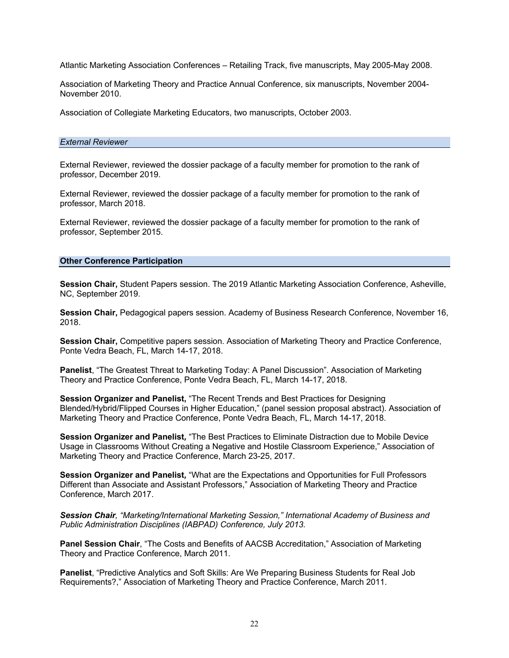Atlantic Marketing Association Conferences – Retailing Track, five manuscripts, May 2005-May 2008.

Association of Marketing Theory and Practice Annual Conference, six manuscripts, November 2004- November 2010.

Association of Collegiate Marketing Educators, two manuscripts, October 2003.

#### *External Reviewer*

External Reviewer, reviewed the dossier package of a faculty member for promotion to the rank of professor, December 2019.

External Reviewer, reviewed the dossier package of a faculty member for promotion to the rank of professor, March 2018.

External Reviewer, reviewed the dossier package of a faculty member for promotion to the rank of professor, September 2015.

#### **Other Conference Participation**

**Session Chair,** Student Papers session. The 2019 Atlantic Marketing Association Conference, Asheville, NC, September 2019.

**Session Chair,** Pedagogical papers session. Academy of Business Research Conference, November 16, 2018.

**Session Chair,** Competitive papers session. Association of Marketing Theory and Practice Conference, Ponte Vedra Beach, FL, March 14-17, 2018.

**Panelist**, "The Greatest Threat to Marketing Today: A Panel Discussion". Association of Marketing Theory and Practice Conference, Ponte Vedra Beach, FL, March 14-17, 2018.

**Session Organizer and Panelist,** "The Recent Trends and Best Practices for Designing Blended/Hybrid/Flipped Courses in Higher Education," (panel session proposal abstract). Association of Marketing Theory and Practice Conference, Ponte Vedra Beach, FL, March 14-17, 2018.

**Session Organizer and Panelist***,* "The Best Practices to Eliminate Distraction due to Mobile Device Usage in Classrooms Without Creating a Negative and Hostile Classroom Experience," Association of Marketing Theory and Practice Conference, March 23-25, 2017.

**Session Organizer and Panelist***,* "What are the Expectations and Opportunities for Full Professors Different than Associate and Assistant Professors," Association of Marketing Theory and Practice Conference, March 2017.

*Session Chair, "Marketing/International Marketing Session," International Academy of Business and Public Administration Disciplines (IABPAD) Conference, July 2013.*

**Panel Session Chair**, "The Costs and Benefits of AACSB Accreditation," Association of Marketing Theory and Practice Conference, March 2011.

**Panelist**, "Predictive Analytics and Soft Skills: Are We Preparing Business Students for Real Job Requirements?," Association of Marketing Theory and Practice Conference, March 2011.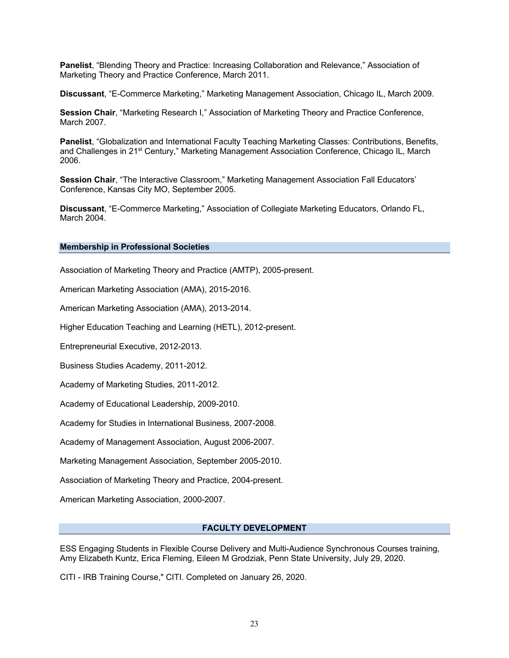**Panelist**, "Blending Theory and Practice: Increasing Collaboration and Relevance," Association of Marketing Theory and Practice Conference, March 2011.

**Discussant**, "E-Commerce Marketing," Marketing Management Association, Chicago IL, March 2009.

**Session Chair**, "Marketing Research I," Association of Marketing Theory and Practice Conference, March 2007.

**Panelist**, "Globalization and International Faculty Teaching Marketing Classes: Contributions, Benefits, and Challenges in 21<sup>st</sup> Century," Marketing Management Association Conference, Chicago IL, March 2006.

**Session Chair**, "The Interactive Classroom," Marketing Management Association Fall Educators' Conference, Kansas City MO, September 2005.

**Discussant**, "E-Commerce Marketing," Association of Collegiate Marketing Educators, Orlando FL, March 2004.

## **Membership in Professional Societies**

Association of Marketing Theory and Practice (AMTP), 2005-present.

American Marketing Association (AMA), 2015-2016.

American Marketing Association (AMA), 2013-2014.

Higher Education Teaching and Learning (HETL), 2012-present.

Entrepreneurial Executive, 2012-2013.

Business Studies Academy, 2011-2012.

Academy of Marketing Studies, 2011-2012.

Academy of Educational Leadership, 2009-2010.

Academy for Studies in International Business, 2007-2008.

Academy of Management Association, August 2006-2007.

Marketing Management Association, September 2005-2010.

Association of Marketing Theory and Practice, 2004-present.

American Marketing Association, 2000-2007.

## **FACULTY DEVELOPMENT**

ESS Engaging Students in Flexible Course Delivery and Multi-Audience Synchronous Courses training, Amy Elizabeth Kuntz, Erica Fleming, Eileen M Grodziak, Penn State University, July 29, 2020.

CITI - IRB Training Course," CITI. Completed on January 26, 2020.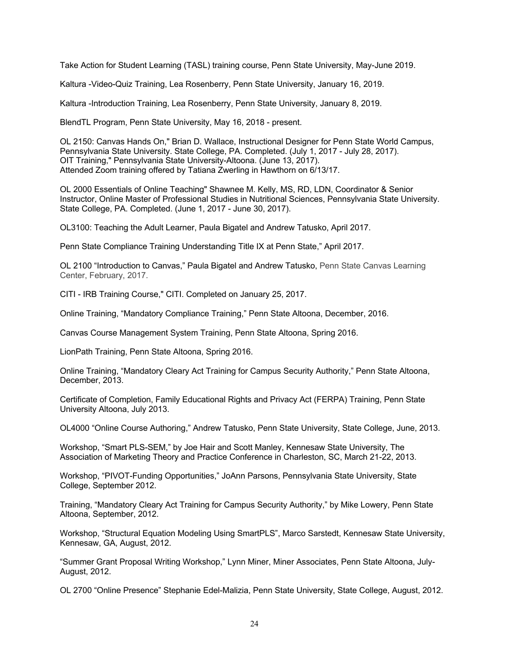Take Action for Student Learning (TASL) training course, Penn State University, May-June 2019.

Kaltura -Video-Quiz Training, Lea Rosenberry, Penn State University, January 16, 2019.

Kaltura -Introduction Training, Lea Rosenberry, Penn State University, January 8, 2019.

BlendTL Program, Penn State University, May 16, 2018 - present.

OL 2150: Canvas Hands On," Brian D. Wallace, Instructional Designer for Penn State World Campus, Pennsylvania State University. State College, PA. Completed. (July 1, 2017 - July 28, 2017). OIT Training," Pennsylvania State University-Altoona. (June 13, 2017). Attended Zoom training offered by Tatiana Zwerling in Hawthorn on 6/13/17.

OL 2000 Essentials of Online Teaching" Shawnee M. Kelly, MS, RD, LDN, Coordinator & Senior Instructor, Online Master of Professional Studies in Nutritional Sciences, Pennsylvania State University. State College, PA. Completed. (June 1, 2017 - June 30, 2017).

OL3100: Teaching the Adult Learner, Paula Bigatel and Andrew Tatusko, April 2017.

Penn State Compliance Training Understanding Title IX at Penn State," April 2017.

OL 2100 "Introduction to Canvas," Paula Bigatel and Andrew Tatusko, Penn State Canvas Learning Center, February, 2017.

CITI - IRB Training Course," CITI. Completed on January 25, 2017.

Online Training, "Mandatory Compliance Training," Penn State Altoona, December, 2016.

Canvas Course Management System Training, Penn State Altoona, Spring 2016.

LionPath Training, Penn State Altoona, Spring 2016.

Online Training, "Mandatory Cleary Act Training for Campus Security Authority," Penn State Altoona, December, 2013.

Certificate of Completion, Family Educational Rights and Privacy Act (FERPA) Training, Penn State University Altoona, July 2013.

OL4000 "Online Course Authoring," Andrew Tatusko, Penn State University, State College, June, 2013.

Workshop, "Smart PLS-SEM," by Joe Hair and Scott Manley, Kennesaw State University, The Association of Marketing Theory and Practice Conference in Charleston, SC, March 21-22, 2013.

Workshop, "PIVOT-Funding Opportunities," JoAnn Parsons, Pennsylvania State University, State College, September 2012.

Training, "Mandatory Cleary Act Training for Campus Security Authority," by Mike Lowery, Penn State Altoona, September, 2012.

Workshop, "Structural Equation Modeling Using SmartPLS", Marco Sarstedt, Kennesaw State University, Kennesaw, GA, August, 2012.

"Summer Grant Proposal Writing Workshop," Lynn Miner, Miner Associates, Penn State Altoona, July-August, 2012.

OL 2700 "Online Presence" Stephanie Edel-Malizia, Penn State University, State College, August, 2012.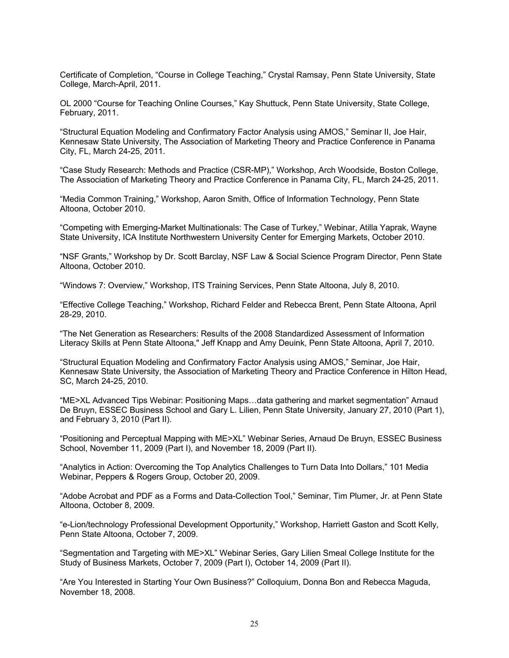Certificate of Completion, "Course in College Teaching," Crystal Ramsay, Penn State University, State College, March-April, 2011.

OL 2000 "Course for Teaching Online Courses," Kay Shuttuck, Penn State University, State College, February, 2011.

"Structural Equation Modeling and Confirmatory Factor Analysis using AMOS," Seminar II, Joe Hair, Kennesaw State University, The Association of Marketing Theory and Practice Conference in Panama City, FL, March 24-25, 2011.

"Case Study Research: Methods and Practice (CSR-MP)," Workshop, Arch Woodside, Boston College, The Association of Marketing Theory and Practice Conference in Panama City, FL, March 24-25, 2011.

"Media Common Training," Workshop, Aaron Smith, Office of Information Technology, Penn State Altoona, October 2010.

"Competing with Emerging-Market Multinationals: The Case of Turkey," Webinar, Atilla Yaprak, Wayne State University, ICA Institute Northwestern University Center for Emerging Markets, October 2010.

"NSF Grants," Workshop by Dr. Scott Barclay, NSF Law & Social Science Program Director, Penn State Altoona, October 2010.

"Windows 7: Overview," Workshop, ITS Training Services, Penn State Altoona, July 8, 2010.

"Effective College Teaching," Workshop, Richard Felder and Rebecca Brent, Penn State Altoona, April 28-29, 2010.

"The Net Generation as Researchers: Results of the 2008 Standardized Assessment of Information Literacy Skills at Penn State Altoona," Jeff Knapp and Amy Deuink, Penn State Altoona, April 7, 2010.

"Structural Equation Modeling and Confirmatory Factor Analysis using AMOS," Seminar, Joe Hair, Kennesaw State University, the Association of Marketing Theory and Practice Conference in Hilton Head, SC, March 24-25, 2010.

"ME>XL Advanced Tips Webinar: Positioning Maps…data gathering and market segmentation" Arnaud De Bruyn, ESSEC Business School and Gary L. Lilien, Penn State University, January 27, 2010 (Part 1), and February 3, 2010 (Part II).

"Positioning and Perceptual Mapping with ME>XL" Webinar Series, Arnaud De Bruyn, ESSEC Business School, November 11, 2009 (Part I), and November 18, 2009 (Part II).

"Analytics in Action: Overcoming the Top Analytics Challenges to Turn Data Into Dollars," 101 Media Webinar, Peppers & Rogers Group, October 20, 2009.

"Adobe Acrobat and PDF as a Forms and Data-Collection Tool," Seminar, Tim Plumer, Jr. at Penn State Altoona, October 8, 2009.

"e-Lion/technology Professional Development Opportunity," Workshop, Harriett Gaston and Scott Kelly, Penn State Altoona, October 7, 2009.

"Segmentation and Targeting with ME>XL" Webinar Series, Gary Lilien Smeal College Institute for the Study of Business Markets, October 7, 2009 (Part I), October 14, 2009 (Part II).

"Are You Interested in Starting Your Own Business?" Colloquium, Donna Bon and Rebecca Maguda, November 18, 2008.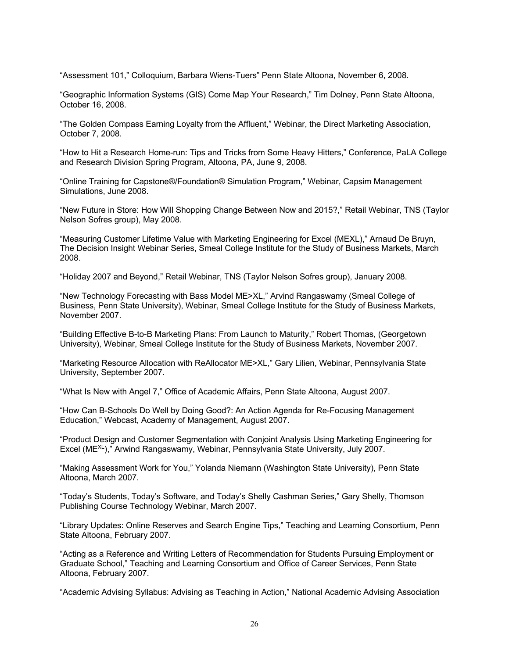"Assessment 101," Colloquium, Barbara Wiens-Tuers" Penn State Altoona, November 6, 2008.

"Geographic Information Systems (GIS) Come Map Your Research," Tim Dolney, Penn State Altoona, October 16, 2008.

"The Golden Compass Earning Loyalty from the Affluent," Webinar, the Direct Marketing Association, October 7, 2008.

"How to Hit a Research Home-run: Tips and Tricks from Some Heavy Hitters," Conference, PaLA College and Research Division Spring Program, Altoona, PA, June 9, 2008.

"Online Training for Capstone®/Foundation® Simulation Program," Webinar, Capsim Management Simulations, June 2008.

"New Future in Store: How Will Shopping Change Between Now and 2015?," Retail Webinar, TNS (Taylor Nelson Sofres group), May 2008.

"Measuring Customer Lifetime Value with Marketing Engineering for Excel (MEXL)," Arnaud De Bruyn, The Decision Insight Webinar Series, Smeal College Institute for the Study of Business Markets, March 2008.

"Holiday 2007 and Beyond," Retail Webinar, TNS (Taylor Nelson Sofres group), January 2008.

"New Technology Forecasting with Bass Model ME>XL," Arvind Rangaswamy (Smeal College of Business, Penn State University), Webinar, Smeal College Institute for the Study of Business Markets, November 2007.

"Building Effective B-to-B Marketing Plans: From Launch to Maturity," Robert Thomas, (Georgetown University), Webinar, Smeal College Institute for the Study of Business Markets, November 2007.

"Marketing Resource Allocation with ReAllocator ME>XL," Gary Lilien, Webinar, Pennsylvania State University, September 2007.

"What Is New with Angel 7," Office of Academic Affairs, Penn State Altoona, August 2007.

"How Can B-Schools Do Well by Doing Good?: An Action Agenda for Re-Focusing Management Education," Webcast, Academy of Management, August 2007.

"Product Design and Customer Segmentation with Conjoint Analysis Using Marketing Engineering for Excel (ME<sup>XL</sup>)," Arwind Rangaswamy, Webinar, Pennsylvania State University, July 2007.

"Making Assessment Work for You," Yolanda Niemann (Washington State University), Penn State Altoona, March 2007.

"Today's Students, Today's Software, and Today's Shelly Cashman Series," Gary Shelly, Thomson Publishing Course Technology Webinar, March 2007.

"Library Updates: Online Reserves and Search Engine Tips," Teaching and Learning Consortium, Penn State Altoona, February 2007.

"Acting as a Reference and Writing Letters of Recommendation for Students Pursuing Employment or Graduate School," Teaching and Learning Consortium and Office of Career Services, Penn State Altoona, February 2007.

"Academic Advising Syllabus: Advising as Teaching in Action," National Academic Advising Association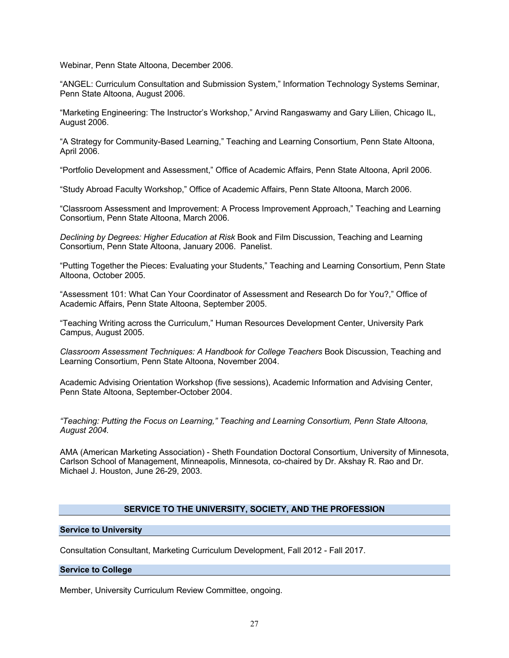Webinar, Penn State Altoona, December 2006.

"ANGEL: Curriculum Consultation and Submission System," Information Technology Systems Seminar, Penn State Altoona, August 2006.

"Marketing Engineering: The Instructor's Workshop," Arvind Rangaswamy and Gary Lilien, Chicago IL, August 2006.

"A Strategy for Community-Based Learning," Teaching and Learning Consortium, Penn State Altoona, April 2006.

"Portfolio Development and Assessment," Office of Academic Affairs, Penn State Altoona, April 2006.

"Study Abroad Faculty Workshop," Office of Academic Affairs, Penn State Altoona, March 2006.

"Classroom Assessment and Improvement: A Process Improvement Approach," Teaching and Learning Consortium, Penn State Altoona, March 2006.

*Declining by Degrees: Higher Education at Risk* Book and Film Discussion, Teaching and Learning Consortium, Penn State Altoona, January 2006. Panelist.

"Putting Together the Pieces: Evaluating your Students," Teaching and Learning Consortium, Penn State Altoona, October 2005.

"Assessment 101: What Can Your Coordinator of Assessment and Research Do for You?," Office of Academic Affairs, Penn State Altoona, September 2005.

"Teaching Writing across the Curriculum," Human Resources Development Center, University Park Campus, August 2005.

*Classroom Assessment Techniques: A Handbook for College Teachers* Book Discussion, Teaching and Learning Consortium, Penn State Altoona, November 2004.

Academic Advising Orientation Workshop (five sessions), Academic Information and Advising Center, Penn State Altoona, September-October 2004.

*"Teaching: Putting the Focus on Learning," Teaching and Learning Consortium, Penn State Altoona, August 2004.*

AMA (American Marketing Association) - Sheth Foundation Doctoral Consortium, University of Minnesota, Carlson School of Management, Minneapolis, Minnesota, co-chaired by Dr. Akshay R. Rao and Dr. Michael J. Houston, June 26-29, 2003.

# **SERVICE TO THE UNIVERSITY, SOCIETY, AND THE PROFESSION**

#### **Service to University**

Consultation Consultant, Marketing Curriculum Development, Fall 2012 - Fall 2017.

#### **Service to College**

Member, University Curriculum Review Committee, ongoing.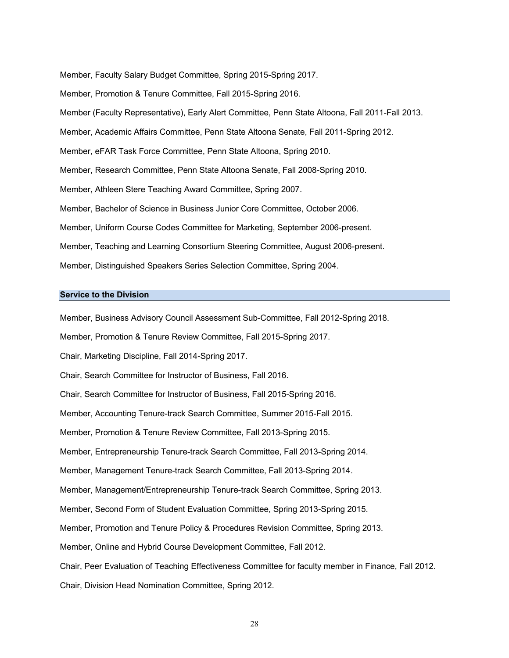Member, Faculty Salary Budget Committee, Spring 2015-Spring 2017. Member, Promotion & Tenure Committee, Fall 2015-Spring 2016. Member (Faculty Representative), Early Alert Committee, Penn State Altoona, Fall 2011-Fall 2013. Member, Academic Affairs Committee, Penn State Altoona Senate, Fall 2011-Spring 2012. Member, eFAR Task Force Committee, Penn State Altoona, Spring 2010. Member, Research Committee, Penn State Altoona Senate, Fall 2008-Spring 2010. Member, Athleen Stere Teaching Award Committee, Spring 2007. Member, Bachelor of Science in Business Junior Core Committee, October 2006. Member, Uniform Course Codes Committee for Marketing, September 2006-present. Member, Teaching and Learning Consortium Steering Committee, August 2006-present. Member, Distinguished Speakers Series Selection Committee, Spring 2004.

#### **Service to the Division**

Member, Business Advisory Council Assessment Sub-Committee, Fall 2012-Spring 2018.

Member, Promotion & Tenure Review Committee, Fall 2015-Spring 2017.

Chair, Marketing Discipline, Fall 2014-Spring 2017.

Chair, Search Committee for Instructor of Business, Fall 2016.

Chair, Search Committee for Instructor of Business, Fall 2015-Spring 2016.

Member, Accounting Tenure-track Search Committee, Summer 2015-Fall 2015.

Member, Promotion & Tenure Review Committee, Fall 2013-Spring 2015.

Member, Entrepreneurship Tenure-track Search Committee, Fall 2013-Spring 2014.

Member, Management Tenure-track Search Committee, Fall 2013-Spring 2014.

Member, Management/Entrepreneurship Tenure-track Search Committee, Spring 2013.

Member, Second Form of Student Evaluation Committee, Spring 2013-Spring 2015.

Member, Promotion and Tenure Policy & Procedures Revision Committee, Spring 2013.

Member, Online and Hybrid Course Development Committee, Fall 2012.

Chair, Peer Evaluation of Teaching Effectiveness Committee for faculty member in Finance, Fall 2012.

Chair, Division Head Nomination Committee, Spring 2012.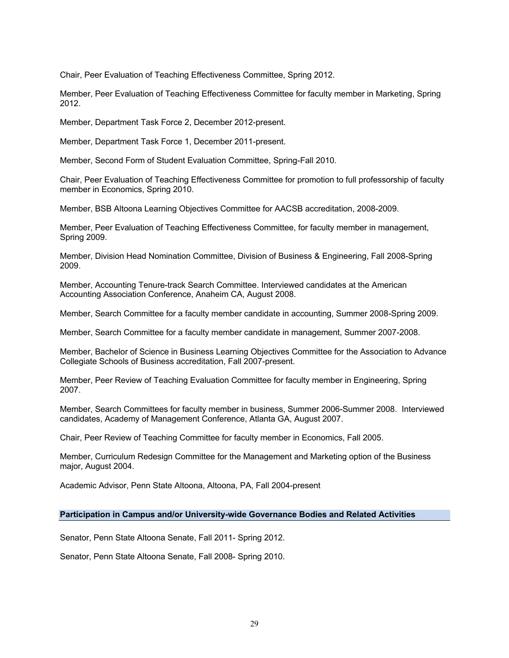Chair, Peer Evaluation of Teaching Effectiveness Committee, Spring 2012.

Member, Peer Evaluation of Teaching Effectiveness Committee for faculty member in Marketing, Spring 2012.

Member, Department Task Force 2, December 2012-present.

Member, Department Task Force 1, December 2011-present.

Member, Second Form of Student Evaluation Committee, Spring-Fall 2010.

Chair, Peer Evaluation of Teaching Effectiveness Committee for promotion to full professorship of faculty member in Economics, Spring 2010.

Member, BSB Altoona Learning Objectives Committee for AACSB accreditation, 2008-2009.

Member, Peer Evaluation of Teaching Effectiveness Committee, for faculty member in management, Spring 2009.

Member, Division Head Nomination Committee, Division of Business & Engineering, Fall 2008-Spring 2009.

Member, Accounting Tenure-track Search Committee. Interviewed candidates at the American Accounting Association Conference, Anaheim CA, August 2008.

Member, Search Committee for a faculty member candidate in accounting, Summer 2008-Spring 2009.

Member, Search Committee for a faculty member candidate in management, Summer 2007-2008.

Member, Bachelor of Science in Business Learning Objectives Committee for the Association to Advance Collegiate Schools of Business accreditation, Fall 2007-present.

Member, Peer Review of Teaching Evaluation Committee for faculty member in Engineering, Spring 2007.

Member, Search Committees for faculty member in business, Summer 2006-Summer 2008. Interviewed candidates, Academy of Management Conference, Atlanta GA, August 2007.

Chair, Peer Review of Teaching Committee for faculty member in Economics, Fall 2005.

Member, Curriculum Redesign Committee for the Management and Marketing option of the Business major, August 2004.

Academic Advisor, Penn State Altoona, Altoona, PA, Fall 2004-present

#### **Participation in Campus and/or University-wide Governance Bodies and Related Activities**

Senator, Penn State Altoona Senate, Fall 2011- Spring 2012.

Senator, Penn State Altoona Senate, Fall 2008- Spring 2010.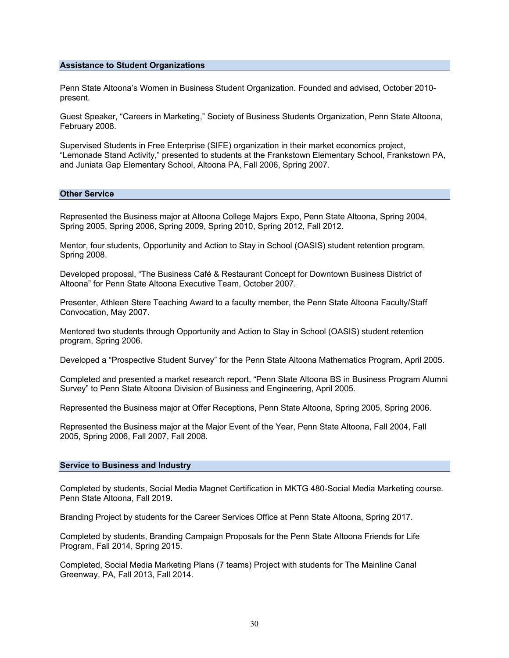#### **Assistance to Student Organizations**

Penn State Altoona's Women in Business Student Organization. Founded and advised, October 2010 present.

Guest Speaker, "Careers in Marketing," Society of Business Students Organization, Penn State Altoona, February 2008.

Supervised Students in Free Enterprise (SIFE) organization in their market economics project, "Lemonade Stand Activity," presented to students at the Frankstown Elementary School, Frankstown PA, and Juniata Gap Elementary School, Altoona PA, Fall 2006, Spring 2007.

#### **Other Service**

Represented the Business major at Altoona College Majors Expo, Penn State Altoona, Spring 2004, Spring 2005, Spring 2006, Spring 2009, Spring 2010, Spring 2012, Fall 2012.

Mentor, four students, Opportunity and Action to Stay in School (OASIS) student retention program, Spring 2008.

Developed proposal, "The Business Café & Restaurant Concept for Downtown Business District of Altoona" for Penn State Altoona Executive Team, October 2007.

Presenter, Athleen Stere Teaching Award to a faculty member, the Penn State Altoona Faculty/Staff Convocation, May 2007.

Mentored two students through Opportunity and Action to Stay in School (OASIS) student retention program, Spring 2006.

Developed a "Prospective Student Survey" for the Penn State Altoona Mathematics Program, April 2005.

Completed and presented a market research report, "Penn State Altoona BS in Business Program Alumni Survey" to Penn State Altoona Division of Business and Engineering, April 2005.

Represented the Business major at Offer Receptions, Penn State Altoona, Spring 2005, Spring 2006.

Represented the Business major at the Major Event of the Year, Penn State Altoona, Fall 2004, Fall 2005, Spring 2006, Fall 2007, Fall 2008.

#### **Service to Business and Industry**

Completed by students, Social Media Magnet Certification in MKTG 480-Social Media Marketing course. Penn State Altoona, Fall 2019.

Branding Project by students for the Career Services Office at Penn State Altoona, Spring 2017.

Completed by students, Branding Campaign Proposals for the Penn State Altoona Friends for Life Program, Fall 2014, Spring 2015.

Completed, Social Media Marketing Plans (7 teams) Project with students for The Mainline Canal Greenway, PA, Fall 2013, Fall 2014.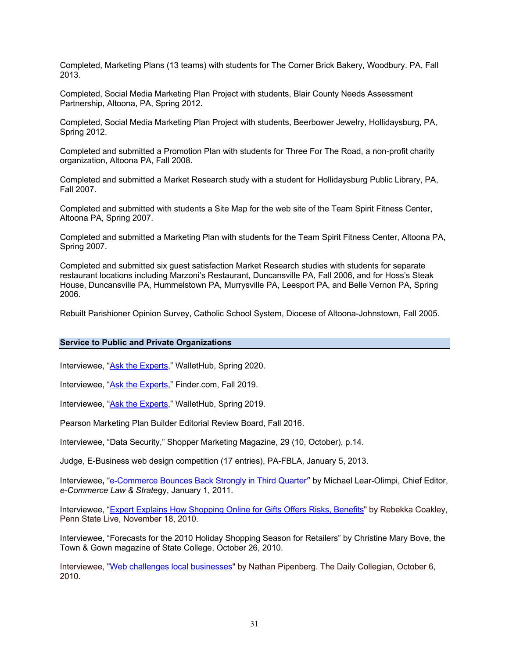Completed, Marketing Plans (13 teams) with students for The Corner Brick Bakery, Woodbury. PA, Fall 2013.

Completed, Social Media Marketing Plan Project with students, Blair County Needs Assessment Partnership, Altoona, PA, Spring 2012.

Completed, Social Media Marketing Plan Project with students, Beerbower Jewelry, Hollidaysburg, PA, Spring 2012.

Completed and submitted a Promotion Plan with students for Three For The Road, a non-profit charity organization, Altoona PA, Fall 2008.

Completed and submitted a Market Research study with a student for Hollidaysburg Public Library, PA, Fall 2007.

Completed and submitted with students a Site Map for the web site of the Team Spirit Fitness Center, Altoona PA, Spring 2007.

Completed and submitted a Marketing Plan with students for the Team Spirit Fitness Center, Altoona PA, Spring 2007.

Completed and submitted six guest satisfaction Market Research studies with students for separate restaurant locations including Marzoni's Restaurant, Duncansville PA, Fall 2006, and for Hoss's Steak House, Duncansville PA, Hummelstown PA, Murrysville PA, Leesport PA, and Belle Vernon PA, Spring 2006.

Rebuilt Parishioner Opinion Survey, Catholic School System, Diocese of Altoona-Johnstown, Fall 2005.

#### **Service to Public and Private Organizations**

Interviewee, "Ask the Experts," WalletHub, Spring 2020.

Interviewee, "Ask the Experts," Finder.com, Fall 2019.

Interviewee, "Ask the Experts," WalletHub, Spring 2019.

Pearson Marketing Plan Builder Editorial Review Board, Fall 2016.

Interviewee, "Data Security," Shopper Marketing Magazine, 29 (10, October), p.14.

Judge, E-Business web design competition (17 entries), PA-FBLA, January 5, 2013.

Interviewee**,** "e-Commerce Bounces Back Strongly in Third Quarter" by Michael Lear-Olimpi, Chief Editor, *e-Commerce Law & Strat*egy, January 1, 2011.

Interviewee, "Expert Explains How Shopping Online for Gifts Offers Risks, Benefits" by Rebekka Coakley, Penn State Live, November 18, 2010.

Interviewee, "Forecasts for the 2010 Holiday Shopping Season for Retailers" by Christine Mary Bove, the Town & Gown magazine of State College, October 26, 2010.

Interviewee, "Web challenges local businesses" by Nathan Pipenberg. The Daily Collegian, October 6, 2010.